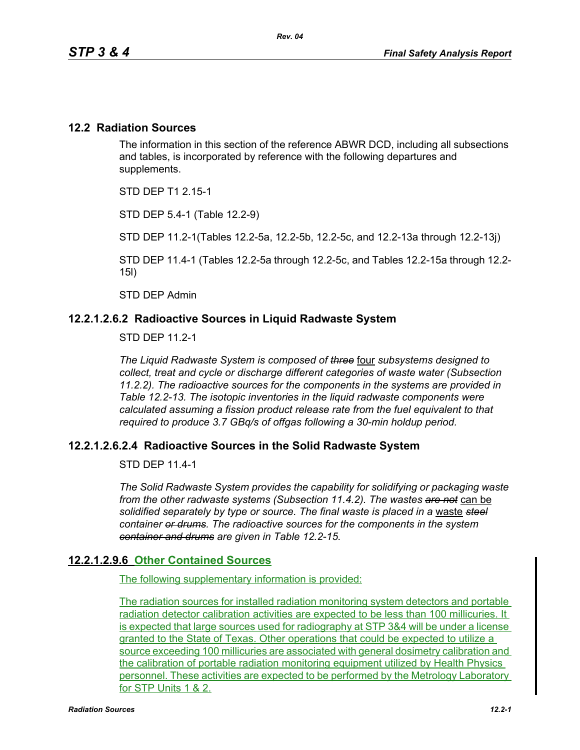#### **12.2 Radiation Sources**

The information in this section of the reference ABWR DCD, including all subsections and tables, is incorporated by reference with the following departures and supplements.

STD DEP T1 2.15-1

STD DEP 5.4-1 (Table 12.2-9)

STD DEP 11.2-1(Tables 12.2-5a, 12.2-5b, 12.2-5c, and 12.2-13a through 12.2-13j)

STD DEP 11.4-1 (Tables 12.2-5a through 12.2-5c, and Tables 12.2-15a through 12.2- 15l)

STD DEP Admin

#### **12.2.1.2.6.2 Radioactive Sources in Liquid Radwaste System**

STD DFP 11 2-1

*The Liquid Radwaste System is composed of three* four *subsystems designed to collect, treat and cycle or discharge different categories of waste water (Subsection 11.2.2). The radioactive sources for the components in the systems are provided in Table 12.2-13. The isotopic inventories in the liquid radwaste components were calculated assuming a fission product release rate from the fuel equivalent to that required to produce 3.7 GBq/s of offgas following a 30-min holdup period.* 

#### **12.2.1.2.6.2.4 Radioactive Sources in the Solid Radwaste System**

STD DEP 11.4-1

*The Solid Radwaste System provides the capability for solidifying or packaging waste from the other radwaste systems (Subsection 11.4.2). The wastes are not* can be *solidified separately by type or source. The final waste is placed in a* waste *steel container or drums. The radioactive sources for the components in the system container and drums are given in Table 12.2-15.*

#### **12.2.1.2.9.6 Other Contained Sources**

The following supplementary information is provided:

The radiation sources for installed radiation monitoring system detectors and portable radiation detector calibration activities are expected to be less than 100 millicuries. It is expected that large sources used for radiography at STP 3&4 will be under a license granted to the State of Texas. Other operations that could be expected to utilize a source exceeding 100 millicuries are associated with general dosimetry calibration and the calibration of portable radiation monitoring equipment utilized by Health Physics personnel. These activities are expected to be performed by the Metrology Laboratory for STP Units 1 & 2.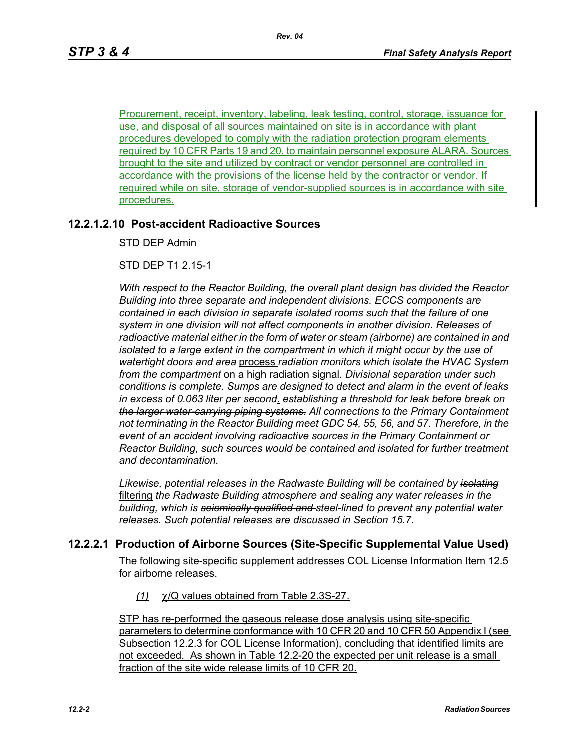Procurement, receipt, inventory, labeling, leak testing, control, storage, issuance for use, and disposal of all sources maintained on site is in accordance with plant procedures developed to comply with the radiation protection program elements required by 10 CFR Parts 19 and 20, to maintain personnel exposure ALARA. Sources brought to the site and utilized by contract or vendor personnel are controlled in accordance with the provisions of the license held by the contractor or vendor. If required while on site, storage of vendor-supplied sources is in accordance with site procedures.

#### **12.2.1.2.10 Post-accident Radioactive Sources**

STD DEP Admin

STD DEP T1 2.15-1

*With respect to the Reactor Building, the overall plant design has divided the Reactor Building into three separate and independent divisions. ECCS components are contained in each division in separate isolated rooms such that the failure of one system in one division will not affect components in another division. Releases of radioactive material either in the form of water or steam (airborne) are contained in and isolated to a large extent in the compartment in which it might occur by the use of watertight doors and area* process *radiation monitors which isolate the HVAC System from the compartment* on a high radiation signal*. Divisional separation under such conditions is complete. Sumps are designed to detect and alarm in the event of leaks in excess of 0.063 liter per second*. *establishing a threshold for leak before break on the larger water-carrying piping systems. All connections to the Primary Containment not terminating in the Reactor Building meet GDC 54, 55, 56, and 57. Therefore, in the event of an accident involving radioactive sources in the Primary Containment or Reactor Building, such sources would be contained and isolated for further treatment and decontamination.*

*Likewise, potential releases in the Radwaste Building will be contained by isolating* filtering *the Radwaste Building atmosphere and sealing any water releases in the building, which is seismically qualified and steel-lined to prevent any potential water releases. Such potential releases are discussed in Section 15.7.* 

#### **12.2.2.1 Production of Airborne Sources (Site-Specific Supplemental Value Used)**

The following site-specific supplement addresses COL License Information Item 12.5 for airborne releases.

*(1)* χ/Q values obtained from Table 2.3S-27.

STP has re-performed the gaseous release dose analysis using site-specific parameters to determine conformance with 10 CFR 20 and 10 CFR 50 Appendix I (see Subsection 12.2.3 for COL License Information), concluding that identified limits are not exceeded. As shown in Table 12.2-20 the expected per unit release is a small fraction of the site wide release limits of 10 CFR 20.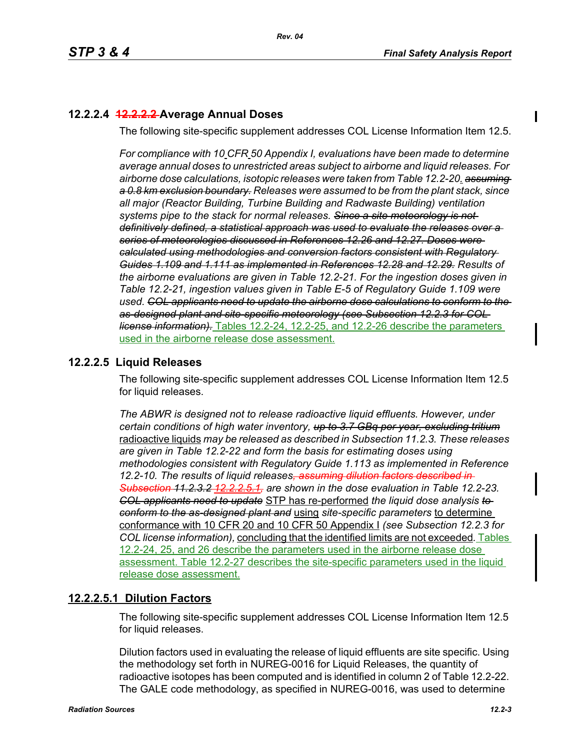# **12.2.2.4 12.2.2.2 Average Annual Doses**

The following site-specific supplement addresses COL License Information Item 12.5.

*For compliance with 10 CFR 50 Appendix I, evaluations have been made to determine average annual doses to unrestricted areas subject to airborne and liquid releases. For airborne dose calculations, isotopic releases were taken from Table 12.2-20. assuming a 0.8 km exclusion boundary. Releases were assumed to be from the plant stack, since all major (Reactor Building, Turbine Building and Radwaste Building) ventilation systems pipe to the stack for normal releases. Since a site meteorology is not definitively defined, a statistical approach was used to evaluate the releases over a series of meteorologies discussed in References 12.26 and 12.27. Doses were calculated using methodologies and conversion factors consistent with Regulatory Guides 1.109 and 1.111 as implemented in References 12.28 and 12.29. Results of the airborne evaluations are given in Table 12.2-21. For the ingestion doses given in Table 12.2-21, ingestion values given in Table E-5 of Regulatory Guide 1.109 were used. COL applicants need to update the airborne dose calculations to conform to the as-designed plant and site-specific meteorology (see Subsection 12.2.3 for COL license information).* Tables 12.2-24, 12.2-25, and 12.2-26 describe the parameters used in the airborne release dose assessment.

# **12.2.2.5 Liquid Releases**

The following site-specific supplement addresses COL License Information Item 12.5 for liquid releases.

*The ABWR is designed not to release radioactive liquid effluents. However, under certain conditions of high water inventory, up to 3.7 GBq per year, excluding tritium* radioactive liquids *may be released as described in Subsection 11.2.3. These releases are given in Table 12.2-22 and form the basis for estimating doses using methodologies consistent with Regulatory Guide 1.113 as implemented in Reference 12.2-10. The results of liquid releases, assuming dilution factors described in Subsection 11.2.3.2 12.2.2.5.1, are shown in the dose evaluation in Table 12.2-23. COL applicants need to update* STP has re-performed *the liquid dose analysis to conform to the as-designed plant and* using *site-specific parameters* to determine conformance with 10 CFR 20 and 10 CFR 50 Appendix I *(see Subsection 12.2.3 for COL license information),* concluding that the identified limits are not exceeded*.* Tables 12.2-24, 25, and 26 describe the parameters used in the airborne release dose assessment. Table 12.2-27 describes the site-specific parameters used in the liquid release dose assessment.

# **12.2.2.5.1 Dilution Factors**

The following site-specific supplement addresses COL License Information Item 12.5 for liquid releases.

Dilution factors used in evaluating the release of liquid effluents are site specific. Using the methodology set forth in NUREG-0016 for Liquid Releases, the quantity of radioactive isotopes has been computed and is identified in column 2 of Table 12.2-22. The GALE code methodology, as specified in NUREG-0016, was used to determine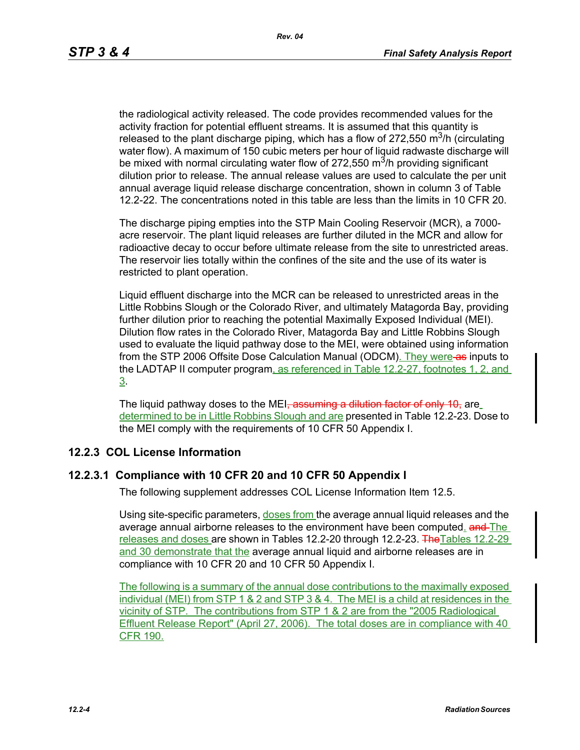the radiological activity released. The code provides recommended values for the activity fraction for potential effluent streams. It is assumed that this quantity is released to the plant discharge piping, which has a flow of 272,550  $\mathrm{m}^3$ /h (circulating water flow). A maximum of 150 cubic meters per hour of liquid radwaste discharge will be mixed with normal circulating water flow of  $272,550$  m<sup>3</sup>/h providing significant dilution prior to release. The annual release values are used to calculate the per unit annual average liquid release discharge concentration, shown in column 3 of Table 12.2-22. The concentrations noted in this table are less than the limits in 10 CFR 20.

The discharge piping empties into the STP Main Cooling Reservoir (MCR), a 7000 acre reservoir. The plant liquid releases are further diluted in the MCR and allow for radioactive decay to occur before ultimate release from the site to unrestricted areas. The reservoir lies totally within the confines of the site and the use of its water is restricted to plant operation.

Liquid effluent discharge into the MCR can be released to unrestricted areas in the Little Robbins Slough or the Colorado River, and ultimately Matagorda Bay, providing further dilution prior to reaching the potential Maximally Exposed Individual (MEI). Dilution flow rates in the Colorado River, Matagorda Bay and Little Robbins Slough used to evaluate the liquid pathway dose to the MEI, were obtained using information from the STP 2006 Offsite Dose Calculation Manual (ODCM). They were as inputs to the LADTAP II computer program, as referenced in Table 12.2-27, footnotes 1, 2, and 3.

The liquid pathway doses to the MEI<del>, assuming a dilution factor of only 10,</del> are determined to be in Little Robbins Slough and are presented in Table 12.2-23. Dose to the MEI comply with the requirements of 10 CFR 50 Appendix I.

#### **12.2.3 COL License Information**

#### **12.2.3.1 Compliance with 10 CFR 20 and 10 CFR 50 Appendix I**

The following supplement addresses COL License Information Item 12.5.

Using site-specific parameters, doses from the average annual liquid releases and the average annual airborne releases to the environment have been computed. and The releases and doses are shown in Tables 12.2-20 through 12.2-23. The Tables 12.2-29 and 30 demonstrate that the average annual liquid and airborne releases are in compliance with 10 CFR 20 and 10 CFR 50 Appendix I.

The following is a summary of the annual dose contributions to the maximally exposed individual (MEI) from STP 1 & 2 and STP 3 & 4. The MEI is a child at residences in the vicinity of STP. The contributions from STP 1 & 2 are from the "2005 Radiological Effluent Release Report" (April 27, 2006). The total doses are in compliance with 40 CFR 190.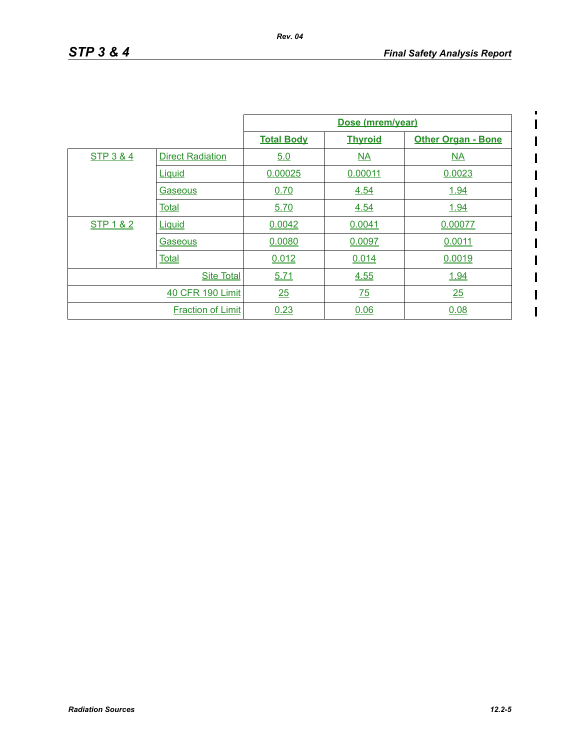$\blacksquare$  $\begin{array}{c} \hline \end{array}$  $\overline{\mathbf{I}}$ 

> I  $\overline{\phantom{a}}$  $\overline{\phantom{a}}$

|           |                          |                   | Dose (mrem/year) |                           |
|-----------|--------------------------|-------------------|------------------|---------------------------|
|           |                          | <b>Total Body</b> | <b>Thyroid</b>   | <b>Other Organ - Bone</b> |
| STP 3 & 4 | <b>Direct Radiation</b>  | 5.0               | NA               | NA                        |
|           | Liquid                   | 0.00025           | 0.00011          | 0.0023                    |
|           | Gaseous                  | 0.70              | 4.54             | 1.94                      |
|           | <b>Total</b>             | 5.70              | 4.54             | 1.94                      |
| STP 1 & 2 | Liquid                   | 0.0042            | 0.0041           | 0.00077                   |
|           | Gaseous                  | 0.0080            | 0.0097           | 0.0011                    |
|           | <b>Total</b>             | 0.012             | 0.014            | 0.0019                    |
|           | <b>Site Total</b>        | 5.71              | 4.55             | 1.94                      |
|           | 40 CFR 190 Limit         | 25                | 75               | 25                        |
|           | <b>Fraction of Limit</b> | 0.23              | 0.06             | 0.08                      |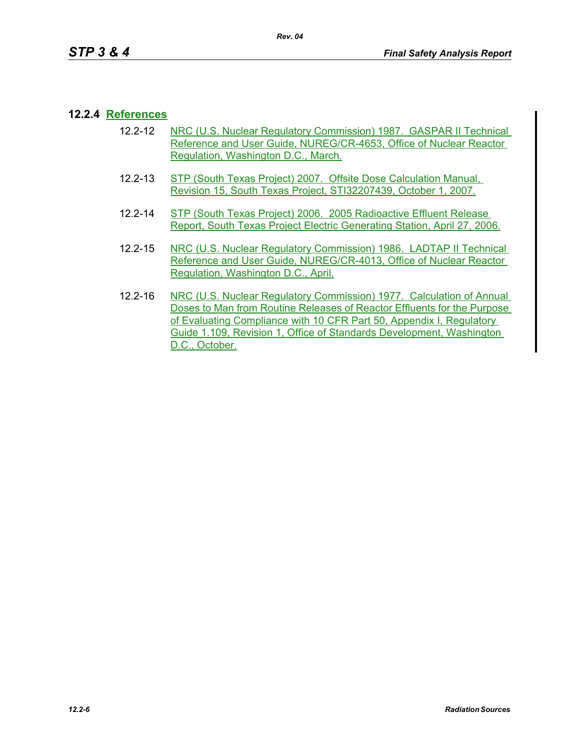# **12.2.4 References**

- 12.2-12 NRC (U.S. Nuclear Regulatory Commission) 1987. GASPAR II Technical Reference and User Guide, NUREG/CR-4653, Office of Nuclear Reactor Regulation, Washington D.C., March.
- 12.2-13 STP (South Texas Project) 2007. Offsite Dose Calculation Manual, Revision 15, South Texas Project, STI32207439, October 1, 2007.
- 12.2-14 STP (South Texas Project) 2006. 2005 Radioactive Effluent Release Report, South Texas Project Electric Generating Station, April 27, 2006.
- 12.2-15 NRC (U.S. Nuclear Regulatory Commission) 1986. LADTAP II Technical Reference and User Guide, NUREG/CR-4013, Office of Nuclear Reactor Regulation, Washington D.C., April.
- 12.2-16 NRC (U.S. Nuclear Regulatory Commission) 1977. Calculation of Annual Doses to Man from Routine Releases of Reactor Effluents for the Purpose of Evaluating Compliance with 10 CFR Part 50, Appendix I, Regulatory Guide 1.109, Revision 1, Office of Standards Development, Washington D.C., October.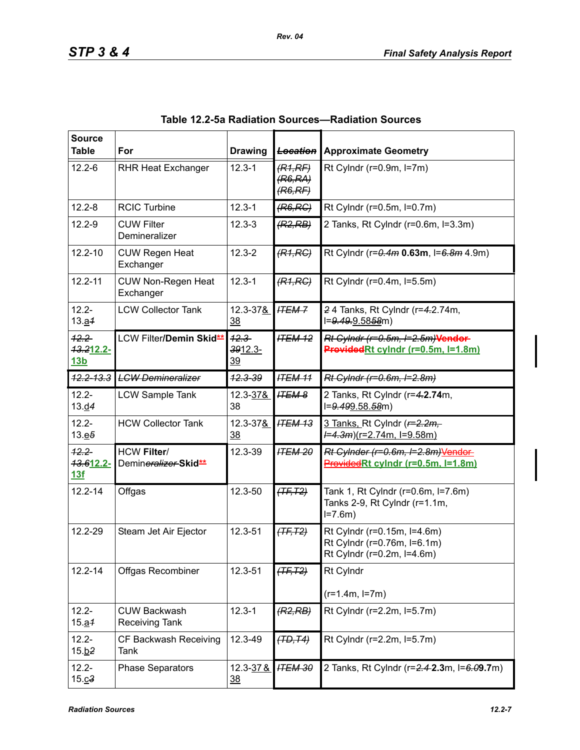| <b>Source</b><br><b>Table</b>       | For                                                    | <b>Drawing</b>                   | <b>Location</b>                          | <b>Approximate Geometry</b>                                                              |
|-------------------------------------|--------------------------------------------------------|----------------------------------|------------------------------------------|------------------------------------------------------------------------------------------|
| $12.2 - 6$                          | <b>RHR Heat Exchanger</b>                              | $12.3 - 1$                       | (R1,RF)<br>(R6,RA)<br><del>(R6,RF)</del> | Rt Cylndr ( $r=0.9m$ , $l=7m$ )                                                          |
| $12.2 - 8$                          | <b>RCIC Turbine</b>                                    | $12.3 - 1$                       | (R6, RC)                                 | Rt Cylndr (r=0.5m, l=0.7m)                                                               |
| $12.2 - 9$                          | <b>CUW Filter</b><br>Demineralizer                     | $12.3 - 3$                       | (R2, RB)                                 | 2 Tanks, Rt Cylndr (r=0.6m, l=3.3m)                                                      |
| $12.2 - 10$                         | <b>CUW Regen Heat</b><br>Exchanger                     | $12.3 - 2$                       | (R1, RC)                                 | Rt Cylndr (r=0.4m 0.63m, l=6.8m 4.9m)                                                    |
| $12.2 - 11$                         | <b>CUW Non-Regen Heat</b><br>Exchanger                 | $12.3 - 1$                       | (R1, RC)                                 | Rt Cylndr (r=0.4m, l=5.5m)                                                               |
| $12.2 -$<br>13.21                   | <b>LCW Collector Tank</b>                              | 12.3-37&<br>$\frac{38}{2}$       | <b>ITEM-7</b>                            | 24 Tanks, Rt Cylndr (r=4.2.74m,<br>I=9.49.9.5858m)                                       |
| $12.2 -$<br>13.212.2-<br><u>13b</u> | LCW Filter/Demin Skid <sup>**</sup>                    | $42.3 -$<br>3912.3-<br><u>39</u> | <b>ITEM 12</b>                           | Rt Cylndr (r=0.5m, I=2.5m)Vendor-<br>ProvidedRt cylndr (r=0.5m, l=1.8m)                  |
| $42.2 - 13.3$                       | <b>LCW Demineralizer</b>                               | $42.3 - 39$                      | <b>ITEM 11</b>                           | Rt Cylndr (r=0.6m, I=2.8m)                                                               |
| $12.2 -$<br>13.04                   | <b>LCW Sample Tank</b>                                 | 12.3-37&<br>38                   | <b>ITEM 8</b>                            | 2 Tanks, Rt Cylndr (r=4.2.74m,<br>l=9.499.58.58m)                                        |
| $12.2 -$<br>13.65                   | <b>HCW Collector Tank</b>                              | 12.3-37&<br><u>38</u>            | <b>ITEM 13</b>                           | 3 Tanks, Rt Cylndr (r=2.2m,<br><del>/=4.3m</del> )(r=2.74m, l=9.58m)                     |
| $12.2 -$<br>13.612.2-<br>13f        | <b>HCW Filter/</b><br>Demineralizer-Skid <sup>**</sup> | 12.3-39                          | <b>ITEM 20</b>                           | Rt Cylnder (r=0.6m, I=2.8m)Vendor<br>ProvidedRt cylndr (r=0.5m, l=1.8m)                  |
| $12.2 - 14$                         | Offgas                                                 | 12.3-50                          | $(TF, T2)$                               | Tank 1, Rt Cylndr (r=0.6m, l=7.6m)<br>Tanks 2-9, Rt Cylndr (r=1.1m,<br>$I = 7.6m$        |
| 12.2-29                             | Steam Jet Air Ejector                                  | 12.3-51                          | $(TF, T2)$                               | Rt Cylndr (r=0.15m, l=4.6m)<br>Rt Cylndr (r=0.76m, l=6.1m)<br>Rt Cylndr (r=0.2m, l=4.6m) |
| $12.2 - 14$                         | Offgas Recombiner                                      | 12.3-51                          | $(TF, T2)$                               | Rt Cylndr                                                                                |
|                                     |                                                        |                                  |                                          | $(r=1.4m, l=7m)$                                                                         |
| $12.2 -$<br>15.24                   | <b>CUW Backwash</b><br>Receiving Tank                  | $12.3 - 1$                       | (R2, RB)                                 | Rt Cylndr (r=2.2m, l=5.7m)                                                               |
| $12.2 -$<br>15.62                   | CF Backwash Receiving<br>Tank                          | 12.3-49                          | (TD, T4)                                 | Rt Cylndr (r=2.2m, l=5.7m)                                                               |
| $12.2 -$<br>15. c3                  | <b>Phase Separators</b>                                | 12.3-37&<br><u>38</u>            | <b>ITEM 30</b>                           | 2 Tanks, Rt Cylndr (r=2.4-2.3m, l=6.09.7m)                                               |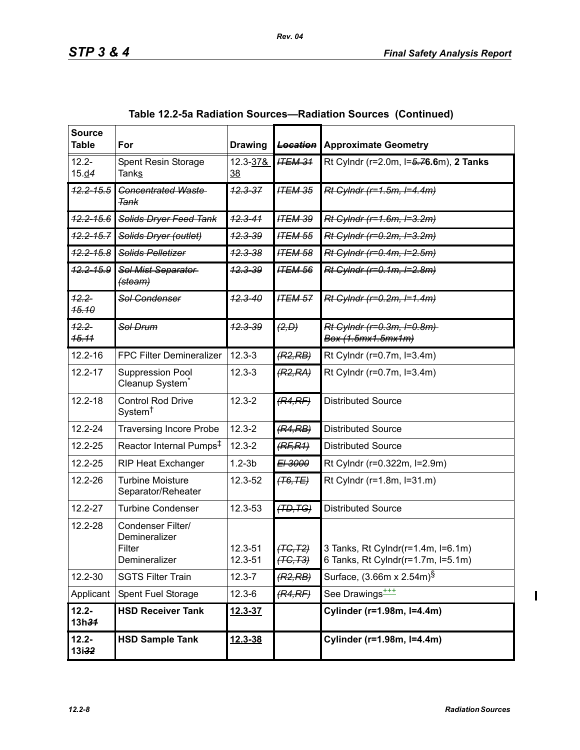| <b>Source</b><br><b>Table</b> | For                                                           | <b>Drawing</b>        | <b>Location</b>        | <b>Approximate Geometry</b>                                              |
|-------------------------------|---------------------------------------------------------------|-----------------------|------------------------|--------------------------------------------------------------------------|
| $12.2 -$<br>15. d4            | Spent Resin Storage<br><b>Tanks</b>                           | 12.3-37&<br><u>38</u> | <b>ITEM 31</b>         | Rt Cylndr (r=2.0m, l=5.76.6m), 2 Tanks                                   |
| $42.2 - 15.5$                 | <b>Concentrated Waste-</b><br>Tank                            | $42.3 - 37$           | <b>ITEM 35</b>         | Rt Cylndr (r=1.5m, I=4.4m)                                               |
| $42.2 - 15.6$                 | Solids Dryer Feed Tank                                        | $42.3 - 41$           | <b>ITEM 39</b>         | Rt Cylndr (r=1.6m, I=3.2m)                                               |
| $12.2 - 15.7$                 | Solids Dryer (outlet)                                         | <del>12.3-39</del>    | <b>ITEM 55</b>         | Rt Cylndr (r=0.2m, I=3.2m)                                               |
| $42.2 - 15.8$                 | <b>Solids Pelletizer</b>                                      | <del>12.3-38</del>    | <b>ITEM 58</b>         | Rt Cylndr (r=0.4m, I=2.5m)                                               |
| $42.2 - 15.9$                 | Sol Mist Separator<br><del>(steam)</del>                      | <del>12.3-39</del>    | <b>ITEM 56</b>         | Rt Cylndr (r=0.1m, I=2.8m)                                               |
| $12.2 -$<br><b>15.10</b>      | Sol Condenser                                                 | $42.3 - 40$           | <b>ITEM 57</b>         | Rt Cylndr (r=0.2m, I=1.4m)                                               |
| $42.2 -$<br>15.11             | <del>Sol Drum</del>                                           | <del>12.3-39</del>    | (2, D)                 | Rt Cylndr (r=0.3m, I=0.8m)<br>Box (1.5mx1.5mx1m)                         |
| $12.2 - 16$                   | FPC Filter Demineralizer                                      | $12.3 - 3$            | (R2, RB)               | Rt Cylndr (r=0.7m, l=3.4m)                                               |
| $12.2 - 17$                   | Suppression Pool<br>Cleanup System <sup>®</sup>               | $12.3 - 3$            | (R2, RA)               | Rt Cylndr (r=0.7m, l=3.4m)                                               |
| $12.2 - 18$                   | <b>Control Rod Drive</b><br>System <sup>†</sup>               | $12.3 - 2$            | (R4,RF)                | <b>Distributed Source</b>                                                |
| 12.2-24                       | <b>Traversing Incore Probe</b>                                | $12.3 - 2$            | (R4, RB)               | <b>Distributed Source</b>                                                |
| 12.2-25                       | Reactor Internal Pumps <sup>‡</sup>                           | $12.3 - 2$            | (RF, R1)               | <b>Distributed Source</b>                                                |
| 12.2-25                       | <b>RIP Heat Exchanger</b>                                     | $1.2 - 3b$            | E <sub>1</sub> 3000    | Rt Cylndr (r=0.322m, l=2.9m)                                             |
| 12.2-26                       | <b>Turbine Moisture</b><br>Separator/Reheater                 | 12.3-52               | <del>(T6,TE)</del>     | Rt Cylndr (r=1.8m, l=31.m)                                               |
| 12.2-27                       | <b>Turbine Condenser</b>                                      | 12.3-53               | (TD, TG)               | <b>Distributed Source</b>                                                |
| 12.2-28                       | Condenser Filter/<br>Demineralizer<br>Filter<br>Demineralizer | 12.3-51<br>12.3-51    | (TG, T2)<br>$(TC, T3)$ | 3 Tanks, Rt Cylndr(r=1.4m, l=6.1m)<br>6 Tanks, Rt Cylndr(r=1.7m, l=5.1m) |
| 12.2-30                       | <b>SGTS Filter Train</b>                                      | $12.3 - 7$            | (R2, RB)               | Surface, (3.66m x 2.54m) <sup>§</sup>                                    |
| Applicant                     | Spent Fuel Storage                                            | $12.3 - 6$            | (R4,RF)                | See Drawings <sup>+++</sup>                                              |
| $12.2 -$<br>13h34             | <b>HSD Receiver Tank</b>                                      | <u>12.3-37</u>        |                        | Cylinder (r=1.98m, l=4.4m)                                               |
| $12.2 -$<br>13i32             | <b>HSD Sample Tank</b>                                        | 12.3-38               |                        | Cylinder (r=1.98m, l=4.4m)                                               |

| Table 12.2-5a Radiation Sources—Radiation Sources (Continued) |  |  |  |  |  |
|---------------------------------------------------------------|--|--|--|--|--|
|---------------------------------------------------------------|--|--|--|--|--|

 $\overline{\mathbf{I}}$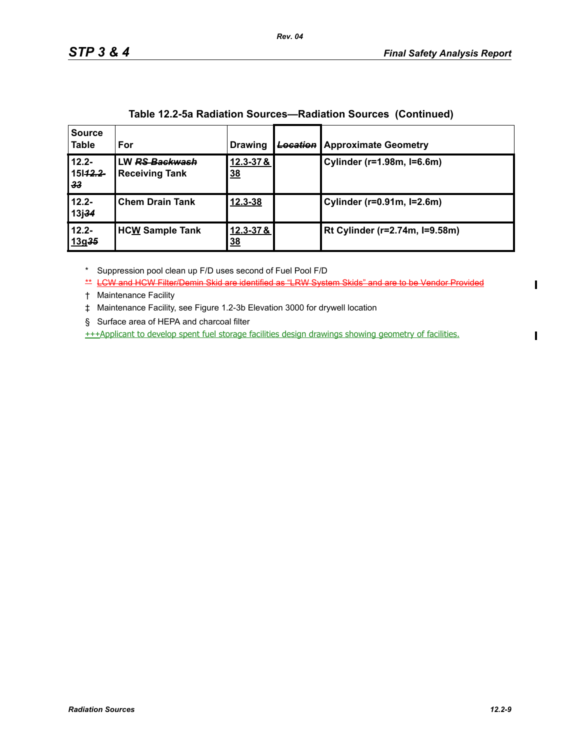| <b>Source</b><br>Table        | For                                                | <b>Drawing</b>        | <b>Location</b> | <b>Approximate Geometry</b>    |
|-------------------------------|----------------------------------------------------|-----------------------|-----------------|--------------------------------|
| $12.2 -$<br>15142.2<br>33     | LW <del>RS Backwash</del><br><b>Receiving Tank</b> | 12.3-37&<br><u>38</u> |                 | Cylinder (r=1.98m, I=6.6m)     |
| $12.2 -$<br>13j <del>34</del> | <b>Chem Drain Tank</b>                             | 12.3-38               |                 | Cylinder (r=0.91m, l=2.6m)     |
| $12.2 -$<br>13g35             | <b>HCW Sample Tank</b>                             | 12.3-37&<br><u>38</u> |                 | Rt Cylinder (r=2.74m, I=9.58m) |

\* Suppression pool clean up F/D uses second of Fuel Pool F/D

\*\* LCW and HCW Filter/Demin Skid are identified as "LRW System Skids" and are to be Vendor Provided

† Maintenance Facility

‡ Maintenance Facility, see Figure 1.2-3b Elevation 3000 for drywell location

§ Surface area of HEPA and charcoal filter

+++Applicant to develop spent fuel storage facilities design drawings showing geometry of facilities.

 $\blacksquare$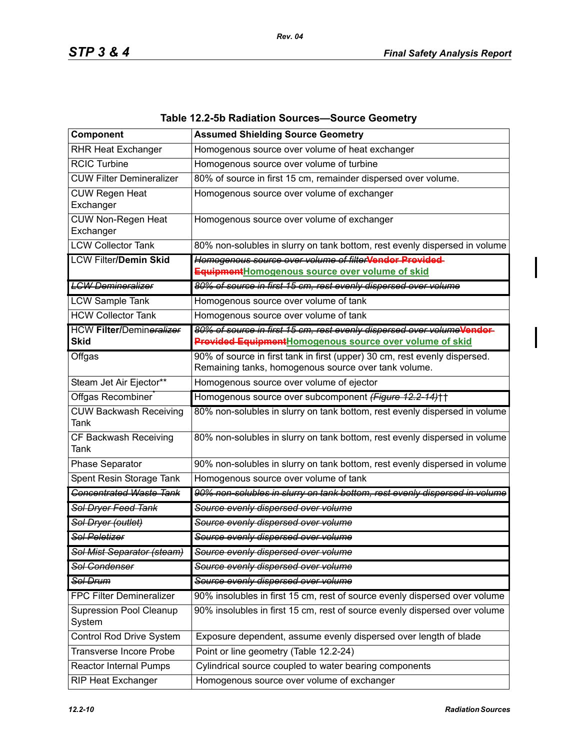| Component                                      | <b>Assumed Shielding Source Geometry</b>                                                                                           |
|------------------------------------------------|------------------------------------------------------------------------------------------------------------------------------------|
| <b>RHR Heat Exchanger</b>                      | Homogenous source over volume of heat exchanger                                                                                    |
| <b>RCIC Turbine</b>                            | Homogenous source over volume of turbine                                                                                           |
| <b>CUW Filter Demineralizer</b>                | 80% of source in first 15 cm, remainder dispersed over volume.                                                                     |
| <b>CUW Regen Heat</b>                          | Homogenous source over volume of exchanger                                                                                         |
| Exchanger                                      |                                                                                                                                    |
| <b>CUW Non-Regen Heat</b><br>Exchanger         | Homogenous source over volume of exchanger                                                                                         |
| <b>LCW Collector Tank</b>                      | 80% non-solubles in slurry on tank bottom, rest evenly dispersed in volume                                                         |
| <b>LCW Filter/Demin Skid</b>                   | Homogenous source over volume of filterVendor Provided-                                                                            |
|                                                | EquipmentHomogenous source over volume of skid                                                                                     |
| <b>LCW Demineralizer</b>                       | 80% of source in first 15 cm, rest evenly dispersed over volume                                                                    |
| <b>LCW Sample Tank</b>                         | Homogenous source over volume of tank                                                                                              |
| <b>HCW Collector Tank</b>                      | Homogenous source over volume of tank                                                                                              |
| <b>HCW Filter/Demineralizer</b><br><b>Skid</b> | 80% of source in first 15 cm, rest evenly dispersed over volumeVendor-<br>Provided EquipmentHomogenous source over volume of skid  |
| Offgas                                         | 90% of source in first tank in first (upper) 30 cm, rest evenly dispersed.<br>Remaining tanks, homogenous source over tank volume. |
| Steam Jet Air Ejector**                        | Homogenous source over volume of ejector                                                                                           |
| Offgas Recombiner                              | Homogenous source over subcomponent (Figure 12.2-14)++                                                                             |
| <b>CUW Backwash Receiving</b><br>Tank          | 80% non-solubles in slurry on tank bottom, rest evenly dispersed in volume                                                         |
| CF Backwash Receiving<br>Tank                  | 80% non-solubles in slurry on tank bottom, rest evenly dispersed in volume                                                         |
| Phase Separator                                | 90% non-solubles in slurry on tank bottom, rest evenly dispersed in volume                                                         |
| Spent Resin Storage Tank                       | Homogenous source over volume of tank                                                                                              |
| <b>Concentrated Waste Tank</b>                 | 90% non-solubles in slurry on tank bottom, rest evenly dispersed in volume                                                         |
| Sol Dryer Feed Tank                            | Source evenly dispersed over volume                                                                                                |
| Sol Dryer (outlet)                             | Source evenly dispersed over volume                                                                                                |
| <b>Sol Peletizer</b>                           | Source evenly dispersed over volume                                                                                                |
| Sol Mist Separator (steam)                     | Source evenly dispersed over volume                                                                                                |
| <b>Sol Condenser</b>                           | Source evenly dispersed over volume                                                                                                |
| Sol Drum                                       | Source evenly dispersed over volume                                                                                                |
| <b>FPC Filter Demineralizer</b>                | 90% insolubles in first 15 cm, rest of source evenly dispersed over volume                                                         |
| <b>Supression Pool Cleanup</b><br>System       | 90% insolubles in first 15 cm, rest of source evenly dispersed over volume                                                         |
| Control Rod Drive System                       | Exposure dependent, assume evenly dispersed over length of blade                                                                   |
| <b>Transverse Incore Probe</b>                 | Point or line geometry (Table 12.2-24)                                                                                             |
| <b>Reactor Internal Pumps</b>                  | Cylindrical source coupled to water bearing components                                                                             |
| RIP Heat Exchanger                             | Homogenous source over volume of exchanger                                                                                         |

# **Table 12.2-5b Radiation Sources—Source Geometry**

*Rev. 04*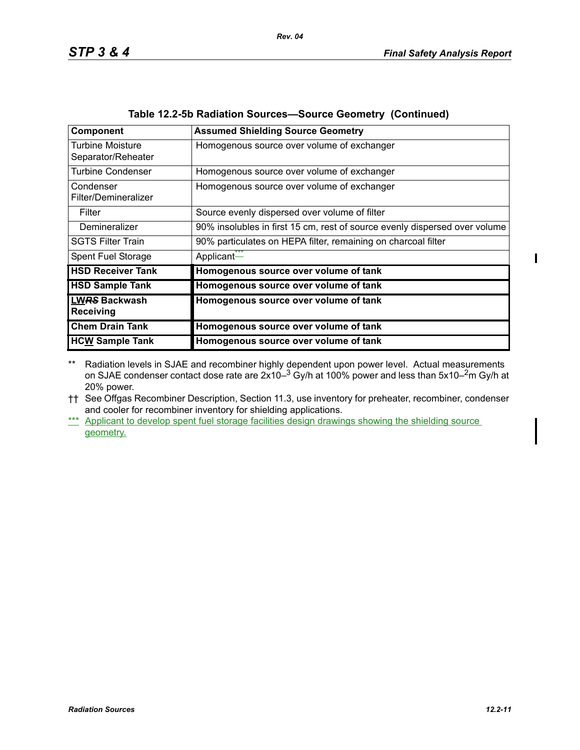| Component                                     | <b>Assumed Shielding Source Geometry</b>                                   |
|-----------------------------------------------|----------------------------------------------------------------------------|
| <b>Turbine Moisture</b><br>Separator/Reheater | Homogenous source over volume of exchanger                                 |
| <b>Turbine Condenser</b>                      | Homogenous source over volume of exchanger                                 |
| Condenser<br>Filter/Demineralizer             | Homogenous source over volume of exchanger                                 |
| Filter                                        | Source evenly dispersed over volume of filter                              |
| Demineralizer                                 | 90% insolubles in first 15 cm, rest of source evenly dispersed over volume |
| <b>SGTS Filter Train</b>                      | 90% particulates on HEPA filter, remaining on charcoal filter              |
| Spent Fuel Storage                            | Applicant <sup>***</sup>                                                   |
| <b>HSD Receiver Tank</b>                      | Homogenous source over volume of tank                                      |
| <b>HSD Sample Tank</b>                        | Homogenous source over volume of tank                                      |
| <b>LWRS Backwash</b><br><b>Receiving</b>      | Homogenous source over volume of tank                                      |
| <b>Chem Drain Tank</b>                        | Homogenous source over volume of tank                                      |
| <b>HCW Sample Tank</b>                        | Homogenous source over volume of tank                                      |

| Table 12.2-5b Radiation Sources-Source Geometry (Continued) |
|-------------------------------------------------------------|
|-------------------------------------------------------------|

*Rev. 04*

\*\* Radiation levels in SJAE and recombiner highly dependent upon power level. Actual measurements on SJAE condenser contact dose rate are 2x10– $^3$  Gy/h at 100% power and less than 5x10– $^2$ m Gy/h at 20% power.

†† See Offgas Recombiner Description, Section 11.3, use inventory for preheater, recombiner, condenser and cooler for recombiner inventory for shielding applications.

\*\*\* Applicant to develop spent fuel storage facilities design drawings showing the shielding source geometry.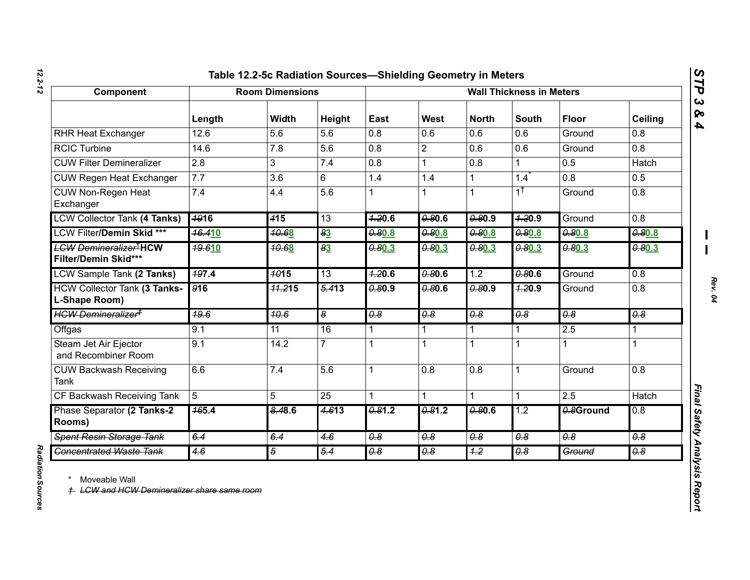# *12.2-12*

| Component                                                           | <b>Room Dimensions</b> |                  |                       | <b>Wall Thickness in Meters</b> |                       |                       |                             |                             |                                  |
|---------------------------------------------------------------------|------------------------|------------------|-----------------------|---------------------------------|-----------------------|-----------------------|-----------------------------|-----------------------------|----------------------------------|
|                                                                     | Length                 | <b>Width</b>     | Height                | East                            | West                  | <b>North</b>          | <b>South</b>                | <b>Floor</b>                | Ceiling                          |
| <b>RHR Heat Exchanger</b>                                           | 12.6                   | 5.6              | 5.6                   | 0.8                             | 0.6                   | 0.6                   | 0.6                         | Ground                      | 0.8                              |
| <b>RCIC Turbine</b>                                                 | 14.6                   | 7.8              | 5.6                   | 0.8                             | $\overline{2}$        | 0.6                   | 0.6                         | Ground                      | $\overline{0.8}$                 |
| <b>CUW Filter Demineralizer</b>                                     | $\overline{2.8}$       | 3                | 7.4                   | 0.8                             | 1                     | $\overline{0.8}$      | 1                           | 0.5                         | Hatch                            |
| <b>CUW Regen Heat Exchanger</b>                                     | 7.7                    | 3.6              | 6                     | 1.4                             | 1.4                   | $\mathbf 1$           | 1.4                         | 0.8                         | 0.5                              |
| <b>CUW Non-Regen Heat</b><br>Exchanger                              | 7.4                    | 4.4              | 5.6                   |                                 |                       | $\mathbf{1}$          | $1^{\dagger}$               | Ground                      | 0.8                              |
| <b>LCW Collector Tank (4 Tanks)</b>                                 | <b>4916</b>            | 415              | 13                    | 7.20.6                          | 0.80.6                | 0.80.9                | 7.20.9                      | Ground                      | 0.8                              |
| <b>LCW Filter/Demin Skid ***</b>                                    | <b>46.410</b>          | 70.68            | 83                    | 0.80.8                          | 0.80.8                | 0.80.8                | 0.80.8                      | 0.80.8                      | 0.80.8                           |
| <del>LCW Demineralizer<sup>1</sup>HCW</del><br>Filter/Demin Skid*** | <b>19.610</b>          | <b>10.68</b>     | $\overline{83}$       | 0.80.3                          | 0.80.3                | 0.80.3                | 0.80.3                      | 0.80.3                      | 0.80.3                           |
| <b>LCW Sample Tank (2 Tanks)</b>                                    | 497.4                  | $\frac{4015}{ }$ | 13                    | 7.20.6                          | 0.80.6                | 1.2                   | 0.80.6                      | Ground                      | 0.8                              |
| <b>HCW Collector Tank (3 Tanks-</b><br>L-Shape Room)                | 916                    | 71.215           | $\frac{5.413}{5.413}$ | 0.80.9                          | 0.80.6                | 0.80.9                | 7.20.9                      | Ground                      | 0.8                              |
| <del>HCW Demineralizer<sup>‡</sup></del>                            | 49.6                   | 10.6             | œ                     | $\overline{\theta.8}$           | $\overline{\theta.8}$ | $\overline{\theta.8}$ | $\overline{\theta \cdot 8}$ | $\overline{\theta \cdot 8}$ | $\overline{\theta \cdot \theta}$ |
| Offgas                                                              | 9.1                    | 11               | 16                    | 1                               | 1                     | 1                     | 1                           | 2.5                         | 1                                |
| Steam Jet Air Ejector<br>and Recombiner Room                        | 9.1                    | 14.2             | $\overline{7}$        | 1                               |                       | $\mathbf 1$           | 1                           | 1                           |                                  |
| <b>CUW Backwash Receiving</b><br><b>Tank</b>                        | 6.6                    | 7.4              | 5.6                   | 1                               | 0.8                   | 0.8                   | 1                           | Ground                      | 0.8                              |
| CF Backwash Receiving Tank                                          | $5\overline{5}$        | 5                | $\overline{25}$       | 1                               |                       | 1                     | 1                           | 2.5                         | <b>Hatch</b>                     |
| Phase Separator (2 Tanks-2<br>Rooms)                                | $\frac{465.4}{5}$      | 8.48.6           | 4.613                 | 0.81.2                          | 0.81.2                | 0.80.6                | 1.2                         | 0.8Ground                   | 0.8                              |
| <b>Spent Resin Storage Tank</b>                                     | 6.4                    | 6.4              | 4.6                   | $\overline{\theta.8}$           | $\overline{\theta.8}$ | 0.8                   | $\overline{\theta.8}$       | $\overline{\theta.8}$       | $\overline{\theta.8}$            |
| <b>Concentrated Waste Tank</b>                                      | 4.6                    | $\overline{5}$   | 5.4                   | 0.8                             | 0.8                   | 4.2                   | $\overline{0.8}$            | Ground                      | 0.8                              |

Radiation Sources *Radiation Sources*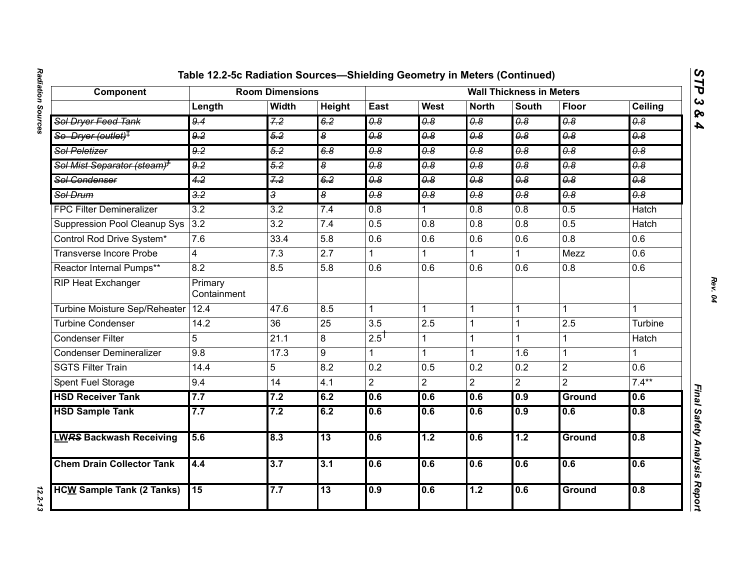| Component                               | <b>Room Dimensions</b> |                  |                                  |                                  | <b>Wall Thickness in Meters</b>  |                       |                       |                                  |                                  |  |
|-----------------------------------------|------------------------|------------------|----------------------------------|----------------------------------|----------------------------------|-----------------------|-----------------------|----------------------------------|----------------------------------|--|
|                                         | Length                 | <b>Width</b>     | Height                           | East                             | <b>West</b>                      | <b>North</b>          | <b>South</b>          | <b>Floor</b>                     | Ceiling                          |  |
| Sol Dryer Feed Tank                     | 9.4                    | 7.2              | 6.2                              | 0.8                              | 0.8                              | $\overline{\theta.8}$ | 0.8                   | $\overline{\theta.8}$            | $\overline{\theta.8}$            |  |
| So Dryer (outlet) <sup>†</sup>          | 9.2                    | 5.2              | $\overline{\boldsymbol{\delta}}$ | 0.8                              | 0.8                              | 0.8                   | $\overline{\theta.8}$ | 0.8                              | 0.8                              |  |
| <b>Sol Peletizer</b>                    | 9.2                    | 5.2              | 6.8                              | $\overline{\theta \cdot \theta}$ | $\overline{\theta \cdot \theta}$ | $\overline{\theta.8}$ | 0.8                   | $\overline{\theta \cdot \theta}$ | $\overline{\theta \cdot \theta}$ |  |
| Sol Mist Separator (steam) <sup>+</sup> | 9.2                    | 5.2              | $\overline{\bullet}$             | $\overline{\theta.8}$            | $\overline{\theta.8}$            | $\overline{\theta.8}$ | $\overline{\theta.8}$ | $\overline{\theta.8}$            | $\theta$ .8                      |  |
| <b>Sol Condenser</b>                    | 4.2                    | 7.2              | 6.2                              | $\overline{0.8}$                 | $\overline{0.8}$                 | $\overline{0.8}$      | $\overline{0.8}$      | 0.8                              | 0.8                              |  |
| <b>Sol Drum</b>                         | $\overline{3.2}$       | $\overline{3}$   | $\overline{\bullet}$             | $\overline{\theta.8}$            | 0.8                              | $\overline{\theta.8}$ | $\overline{\theta.8}$ | 0.8                              | $\theta$ .8                      |  |
| <b>FPC Filter Demineralizer</b>         | $\overline{3.2}$       | $\overline{3.2}$ | 7.4                              | $\overline{0.8}$                 |                                  | 0.8                   | 0.8                   | 0.5                              | <b>Hatch</b>                     |  |
| <b>Suppression Pool Cleanup Sys</b>     | 3.2                    | $\overline{3.2}$ | 7.4                              | 0.5                              | 0.8                              | 0.8                   | $\overline{0.8}$      | 0.5                              | <b>Hatch</b>                     |  |
| Control Rod Drive System*               | 7.6                    | 33.4             | 5.8                              | 0.6                              | 0.6                              | 0.6                   | 0.6                   | 0.8                              | 0.6                              |  |
| <b>Transverse Incore Probe</b>          | $\overline{4}$         | $\overline{7.3}$ | $\overline{2.7}$                 | 1                                |                                  |                       | 1                     | Mezz                             | 0.6                              |  |
| Reactor Internal Pumps**                | 8.2                    | 8.5              | 5.8                              | 0.6                              | 0.6                              | 0.6                   | 0.6                   | 0.8                              | 0.6                              |  |
| <b>RIP Heat Exchanger</b>               | Primary<br>Containment |                  |                                  |                                  |                                  |                       |                       |                                  |                                  |  |
| Turbine Moisture Sep/Reheater           | 12.4                   | 47.6             | 8.5                              | $\mathbf{1}$                     |                                  | 1                     | 1                     | 1                                | 1                                |  |
| <b>Turbine Condenser</b>                | 14.2                   | $\overline{36}$  | $\overline{25}$                  | $\overline{3.5}$                 | 2.5                              | 1                     |                       | 2.5                              | Turbine                          |  |
| <b>Condenser Filter</b>                 | 5                      | 21.1             | 8                                | $2.5$ <sup>T</sup>               |                                  | 1                     | 1                     | 1                                | Hatch                            |  |
| <b>Condenser Demineralizer</b>          | 9.8                    | 17.3             | 9                                | 1                                |                                  |                       | 1.6                   | 1                                |                                  |  |
| <b>SGTS Filter Train</b>                | 14.4                   | 5                | 8.2                              | 0.2                              | 0.5                              | 0.2                   | 0.2                   | $\overline{2}$                   | 0.6                              |  |
| Spent Fuel Storage                      | 9.4                    | 14               | 4.1                              | $\overline{2}$                   | $\overline{2}$                   | $\overline{2}$        | $\overline{2}$        | $\overline{2}$                   | $7.4***$                         |  |
| <b>HSD Receiver Tank</b>                | 7.7                    | 7.2              | 6.2                              | 0.6                              | 0.6                              | 0.6                   | 0.9                   | Ground                           | 0.6                              |  |
| <b>HSD Sample Tank</b>                  | 7.7                    | 7.2              | 6.2                              | 0.6                              | 0.6                              | 0.6                   | 0.9                   | $\overline{0.6}$                 | 0.8                              |  |
| <b>LWRS Backwash Receiving</b>          | 5.6                    | 8.3              | $\overline{13}$                  | 0.6                              | 1.2                              | 0.6                   | $\overline{1.2}$      | Ground                           | 0.8                              |  |
| <b>Chem Drain Collector Tank</b>        | 4.4                    | 3.7              | 3.1                              | 0.6                              | 0.6                              | 0.6                   | 0.6                   | 0.6                              | 0.6                              |  |
| <b>HCW Sample Tank (2 Tanks)</b>        | 15                     | 7.7              | 13                               | 0.9                              | 0.6                              | 1.2                   | 0.6                   | <b>Ground</b>                    | 0.8                              |  |

*STP 3 & 4*

12.2-13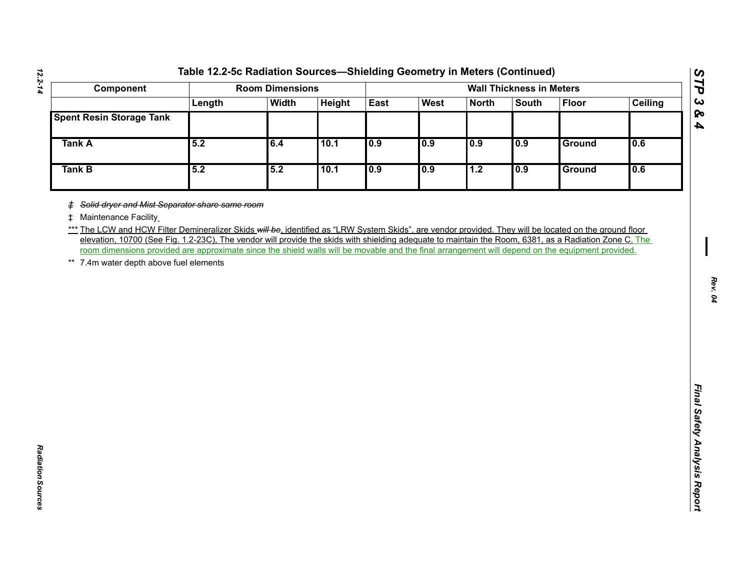| Component                                                                                                                                                                                                                                                                                                                                                                                                                                                            | <b>Room Dimensions</b> |              |        | <b>Wall Thickness in Meters</b> |             |              |       |              |                |
|----------------------------------------------------------------------------------------------------------------------------------------------------------------------------------------------------------------------------------------------------------------------------------------------------------------------------------------------------------------------------------------------------------------------------------------------------------------------|------------------------|--------------|--------|---------------------------------|-------------|--------------|-------|--------------|----------------|
|                                                                                                                                                                                                                                                                                                                                                                                                                                                                      | Length                 | <b>Width</b> | Height | East                            | <b>West</b> | <b>North</b> | South | <b>Floor</b> | <b>Ceiling</b> |
| <b>Spent Resin Storage Tank</b>                                                                                                                                                                                                                                                                                                                                                                                                                                      |                        |              |        |                                 |             |              |       |              |                |
| <b>Tank A</b>                                                                                                                                                                                                                                                                                                                                                                                                                                                        | 5.2                    | 6.4          | 10.1   | 0.9                             | 0.9         | 0.9          | 0.9   | Ground       | 0.6            |
| <b>Tank B</b>                                                                                                                                                                                                                                                                                                                                                                                                                                                        | 5.2                    | 5.2          | 10.1   | 0.9                             | 0.9         | 1.2          | 0.9   | Ground       | 0.6            |
| *** The LCW and HCW Filter Demineralizer Skids will be, identified as "LRW System Skids", are vendor provided. They will be located on the ground floor<br>elevation, 10700 (See Fig. 1.2-23C), The vendor will provide the skids with shielding adequate to maintain the Room, 6381, as a Radiation Zone C. The<br>room dimensions provided are approximate since the shield walls will be movable and the final arrangement will depend on the equipment provided. |                        |              |        |                                 |             |              |       |              |                |

*Radiation Sources* 

Radiation Sources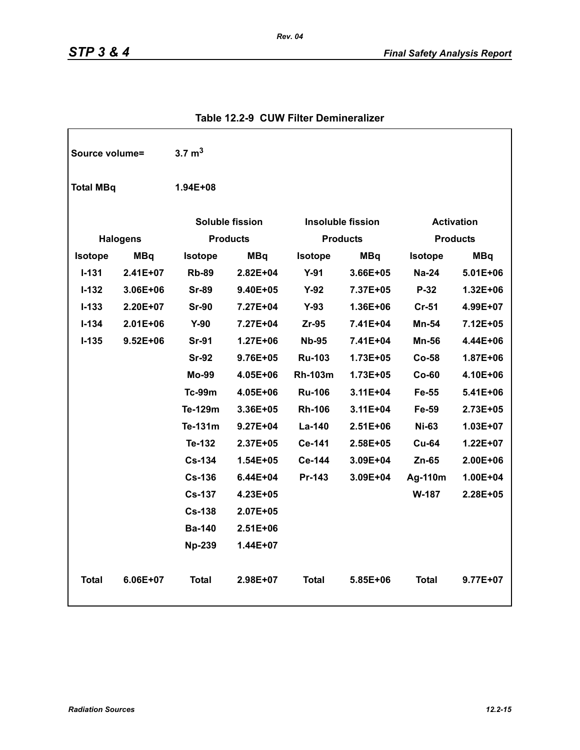| Source volume=   |                 | $3.7 \text{ m}^3$      |                 |                |                          |                   |                 |
|------------------|-----------------|------------------------|-----------------|----------------|--------------------------|-------------------|-----------------|
| <b>Total MBq</b> |                 | 1.94E+08               |                 |                |                          |                   |                 |
|                  |                 | <b>Soluble fission</b> |                 |                | <b>Insoluble fission</b> | <b>Activation</b> |                 |
|                  | <b>Halogens</b> |                        | <b>Products</b> |                | <b>Products</b>          |                   | <b>Products</b> |
| <b>Isotope</b>   | <b>MBq</b>      | <b>Isotope</b>         | <b>MBq</b>      | <b>Isotope</b> | <b>MBq</b>               | <b>Isotope</b>    | <b>MBq</b>      |
| $I - 131$        | 2.41E+07        | <b>Rb-89</b>           | $2.82E + 04$    | $Y-91$         | 3.66E+05                 | <b>Na-24</b>      | $5.01E + 06$    |
| $I-132$          | 3.06E+06        | <b>Sr-89</b>           | 9.40E+05        | $Y-92$         | 7.37E+05                 | P-32              | 1.32E+06        |
| $I-133$          | $2.20E+07$      | <b>Sr-90</b>           | 7.27E+04        | $Y-93$         | 1.36E+06                 | $Cr-51$           | 4.99E+07        |
| $I-134$          | $2.01E + 06$    | $Y-90$                 | 7.27E+04        | Zr-95          | 7.41E+04                 | Mn-54             | 7.12E+05        |
| $I-135$          | $9.52E + 06$    | <b>Sr-91</b>           | $1.27E + 06$    | <b>Nb-95</b>   | 7.41E+04                 | Mn-56             | 4.44E+06        |
|                  |                 | <b>Sr-92</b>           | 9.76E+05        | <b>Ru-103</b>  | 1.73E+05                 | <b>Co-58</b>      | 1.87E+06        |
|                  |                 | <b>Mo-99</b>           | 4.05E+06        | <b>Rh-103m</b> | 1.73E+05                 | $Co-60$           | 4.10E+06        |
|                  |                 | <b>Tc-99m</b>          | 4.05E+06        | <b>Ru-106</b>  | 3.11E+04                 | Fe-55             | 5.41E+06        |
|                  |                 | Te-129m                | 3.36E+05        | <b>Rh-106</b>  | 3.11E+04                 | Fe-59             | 2.73E+05        |
|                  |                 | Te-131m                | $9.27E + 04$    | La-140         | $2.51E + 06$             | <b>Ni-63</b>      | $1.03E + 07$    |
|                  |                 | Te-132                 | 2.37E+05        | Ce-141         | 2.58E+05                 | <b>Cu-64</b>      | 1.22E+07        |
|                  |                 | <b>Cs-134</b>          | $1.54E + 05$    | Ce-144         | 3.09E+04                 | $Zn-65$           | 2.00E+06        |
|                  |                 | <b>Cs-136</b>          | 6.44E+04        | Pr-143         | 3.09E+04                 | Ag-110m           | 1.00E+04        |
|                  |                 | <b>Cs-137</b>          | $4.23E + 05$    |                |                          | W-187             | 2.28E+05        |
|                  |                 | <b>Cs-138</b>          | 2.07E+05        |                |                          |                   |                 |
|                  |                 | <b>Ba-140</b>          | $2.51E + 06$    |                |                          |                   |                 |
|                  |                 | <b>Np-239</b>          | 1.44E+07        |                |                          |                   |                 |
| <b>Total</b>     | $6.06E + 07$    | <b>Total</b>           | $2.98E + 07$    | <b>Total</b>   | $5.85E + 06$             | <b>Total</b>      | 9.77E+07        |

### **Table 12.2-9 CUW Filter Demineralizer**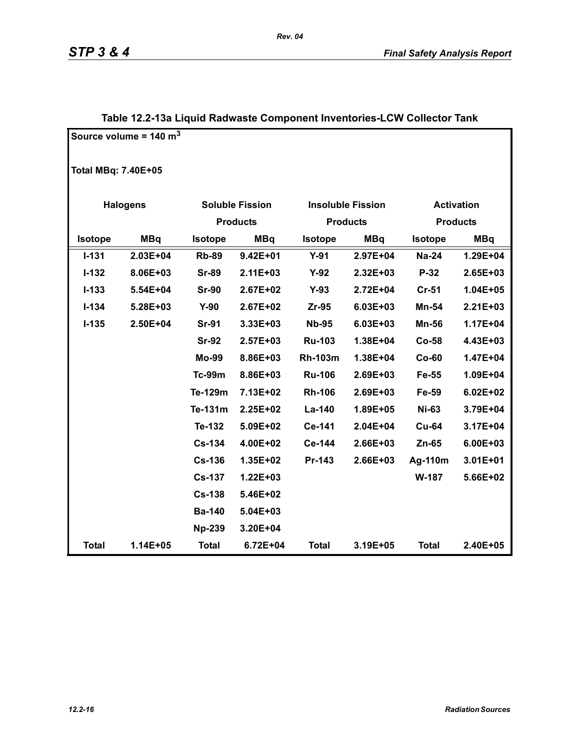|                            | Source volume = $140 \text{ m}^3$ |                |                        |                |                          |                |                   |  |  |  |
|----------------------------|-----------------------------------|----------------|------------------------|----------------|--------------------------|----------------|-------------------|--|--|--|
| <b>Total MBq: 7.40E+05</b> |                                   |                |                        |                |                          |                |                   |  |  |  |
|                            | <b>Halogens</b>                   |                | <b>Soluble Fission</b> |                | <b>Insoluble Fission</b> |                | <b>Activation</b> |  |  |  |
|                            |                                   |                | <b>Products</b>        |                | <b>Products</b>          |                | <b>Products</b>   |  |  |  |
| Isotope                    | <b>MBq</b>                        | <b>Isotope</b> | <b>MBq</b>             | <b>Isotope</b> | <b>MBq</b>               | <b>Isotope</b> | <b>MBq</b>        |  |  |  |
| $I - 131$                  | $2.03E + 04$                      | <b>Rb-89</b>   | $9.42E + 01$           | $Y-91$         | 2.97E+04                 | <b>Na-24</b>   | 1.29E+04          |  |  |  |
| $I - 132$                  | 8.06E+03                          | <b>Sr-89</b>   | $2.11E + 03$           | $Y-92$         | 2.32E+03                 | P-32           | 2.65E+03          |  |  |  |
| $I - 133$                  | 5.54E+04                          | <b>Sr-90</b>   | 2.67E+02               | $Y-93$         | 2.72E+04                 | $Cr-51$        | 1.04E+05          |  |  |  |
| $I - 134$                  | 5.28E+03                          | $Y-90$         | 2.67E+02               | $Zr-95$        | 6.03E+03                 | Mn-54          | $2.21E + 03$      |  |  |  |
| $I-135$                    | 2.50E+04                          | <b>Sr-91</b>   | 3.33E+03               | <b>Nb-95</b>   | 6.03E+03                 | <b>Mn-56</b>   | 1.17E+04          |  |  |  |
|                            |                                   | <b>Sr-92</b>   | 2.57E+03               | <b>Ru-103</b>  | 1.38E+04                 | $Co-58$        | 4.43E+03          |  |  |  |
|                            |                                   | <b>Mo-99</b>   | 8.86E+03               | <b>Rh-103m</b> | 1.38E+04                 | $Co-60$        | 1.47E+04          |  |  |  |
|                            |                                   | <b>Tc-99m</b>  | 8.86E+03               | <b>Ru-106</b>  | 2.69E+03                 | Fe-55          | 1.09E+04          |  |  |  |
|                            |                                   | Te-129m        | 7.13E+02               | <b>Rh-106</b>  | 2.69E+03                 | Fe-59          | $6.02E + 02$      |  |  |  |
|                            |                                   | Te-131m        | 2.25E+02               | La-140         | 1.89E+05                 | <b>Ni-63</b>   | 3.79E+04          |  |  |  |
|                            |                                   | Te-132         | 5.09E+02               | Ce-141         | 2.04E+04                 | <b>Cu-64</b>   | 3.17E+04          |  |  |  |
|                            |                                   | <b>Cs-134</b>  | 4.00E+02               | Ce-144         | 2.66E+03                 | Zn-65          | 6.00E+03          |  |  |  |
|                            |                                   | <b>Cs-136</b>  | 1.35E+02               | Pr-143         | 2.66E+03                 | Ag-110m        | 3.01E+01          |  |  |  |
|                            |                                   | <b>Cs-137</b>  | 1.22E+03               |                |                          | W-187          | 5.66E+02          |  |  |  |
|                            |                                   | <b>Cs-138</b>  | 5.46E+02               |                |                          |                |                   |  |  |  |
|                            |                                   | <b>Ba-140</b>  | 5.04E+03               |                |                          |                |                   |  |  |  |
|                            |                                   | <b>Np-239</b>  | 3.20E+04               |                |                          |                |                   |  |  |  |
| <b>Total</b>               | 1.14E+05                          | <b>Total</b>   | 6.72E+04               | <b>Total</b>   | 3.19E+05                 | <b>Total</b>   | 2.40E+05          |  |  |  |

# **Table 12.2-13a Liquid Radwaste Component Inventories-LCW Collector Tank**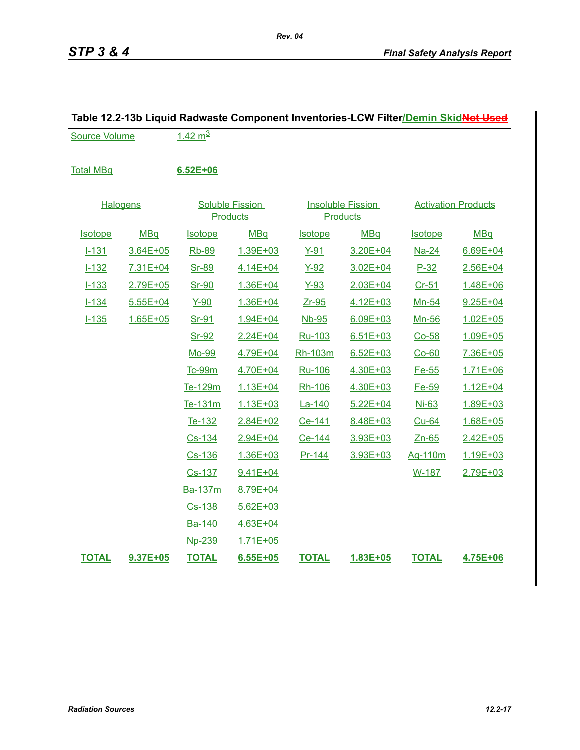| <b>Source Volume</b> |              | $1.42 \text{ m}^3$ |                                           |                |                                             |                |                            |
|----------------------|--------------|--------------------|-------------------------------------------|----------------|---------------------------------------------|----------------|----------------------------|
| <b>Total MBq</b>     |              | $6.52E + 06$       |                                           |                |                                             |                |                            |
| <b>Halogens</b>      |              |                    | <b>Soluble Fission</b><br><b>Products</b> |                | <b>Insoluble Fission</b><br><b>Products</b> |                | <b>Activation Products</b> |
| <b>Isotope</b>       | <b>MBq</b>   | <b>Isotope</b>     | <b>MBq</b>                                | <b>Isotope</b> | MBq                                         | <b>Isotope</b> | <b>MBq</b>                 |
| $1 - 131$            | 3.64E+05     | Rb-89              | 1.39E+03                                  | $Y-91$         | $3.20E + 04$                                | $Na-24$        | $6.69E + 04$               |
| $1 - 132$            | 7.31E+04     | Sr-89              | 4.14E+04                                  | <u>Y-92</u>    | 3.02E+04                                    | $P-32$         | 2.56E+04                   |
| $1 - 133$            | 2.79E+05     | Sr-90              | 1.36E+04                                  | $Y-93$         | $2.03E + 04$                                | $Cr-51$        | 1.48E+06                   |
| $1 - 134$            | $5.55E + 04$ | $Y-90$             | 1.36E+04                                  | Zr-95          | 4.12E+03                                    | <u>Mn-54</u>   | 9.25E+04                   |
| $1 - 135$            | 1.65E+05     | Sr-91              | 1.94E+04                                  | Nb-95          | $6.09E + 03$                                | <u>Mn-56</u>   | 1.02E+05                   |
|                      |              | Sr-92              | 2.24E+04                                  | Ru-103         | $6.51E + 03$                                | $Co-58$        | 1.09E+05                   |
|                      |              | Mo-99              | 4.79E+04                                  | Rh-103m        | $6.52E + 03$                                | $Co-60$        | 7.36E+05                   |
|                      |              | <b>Tc-99m</b>      | 4.70E+04                                  | Ru-106         | 4.30E+03                                    | Fe-55          | $1.71E + 06$               |
|                      |              | Te-129m            | 1.13E+04                                  | Rh-106         | 4.30E+03                                    | Fe-59          | 1.12E+04                   |
|                      |              | Te-131m            | 1.13E+03                                  | La-140         | $5.22E + 04$                                | Ni-63          | 1.89E+03                   |
|                      |              | Te-132             | 2.84E+02                                  | Ce-141         | 8.48E+03                                    | Cu-64          | 1.68E+05                   |
|                      |              | Cs-134             | 2.94E+04                                  | Ce-144         | 3.93E+03                                    | $Zn-65$        | 2.42E+05                   |
|                      |              | Cs-136             | 1.36E+03                                  | $Pr-144$       | 3.93E+03                                    | Ag-110m        | 1.19E+03                   |
|                      |              | Cs-137             | $9.41E + 04$                              |                |                                             | W-187          | 2.79E+03                   |
|                      |              | Ba-137m            | 8.79E+04                                  |                |                                             |                |                            |
|                      |              | $Cs - 138$         | $5.62E + 03$                              |                |                                             |                |                            |
|                      |              | Ba-140             | 4.63E+04                                  |                |                                             |                |                            |
|                      |              | Np-239             | 1.71E+05                                  |                |                                             |                |                            |
| <b>TOTAL</b>         | 9.37E+05     | <b>TOTAL</b>       | $6.55E + 05$                              | <b>TOTAL</b>   | 1.83E+05                                    | <b>TOTAL</b>   | 4.75E+06                   |

# **Table 12.2-13b Liquid Radwaste Component Inventories-LCW Filter/Demin SkidNot Used**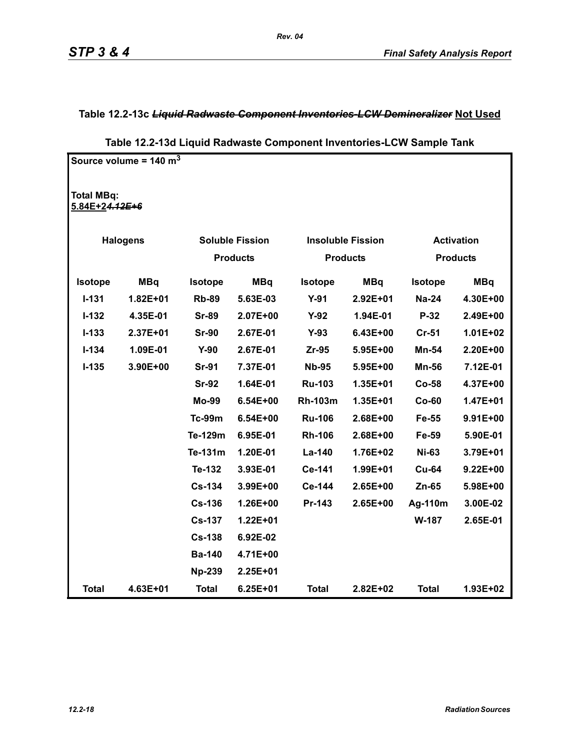### **Table 12.2-13c** *Liquid Radwaste Component Inventories-LCW Demineralizer* **Not Used**

|                                     | Source volume = $140 \text{ m}^3$ |                |                        |                |                          |                |                   |
|-------------------------------------|-----------------------------------|----------------|------------------------|----------------|--------------------------|----------------|-------------------|
| <b>Total MBq:</b><br>5.84E+24.12E+6 |                                   |                |                        |                |                          |                |                   |
|                                     | <b>Halogens</b>                   |                | <b>Soluble Fission</b> |                | <b>Insoluble Fission</b> |                | <b>Activation</b> |
|                                     |                                   |                | <b>Products</b>        |                | <b>Products</b>          |                | <b>Products</b>   |
| <b>Isotope</b>                      | <b>MBq</b>                        | <b>Isotope</b> | <b>MBq</b>             | <b>Isotope</b> | <b>MBq</b>               | <b>Isotope</b> | <b>MBq</b>        |
| $I-131$                             | $1.82E + 01$                      | <b>Rb-89</b>   | 5.63E-03               | $Y-91$         | $2.92E + 01$             | <b>Na-24</b>   | 4.30E+00          |
| $I-132$                             | 4.35E-01                          | <b>Sr-89</b>   | 2.07E+00               | $Y-92$         | 1.94E-01                 | P-32           | 2.49E+00          |
| $I-133$                             | 2.37E+01                          | <b>Sr-90</b>   | 2.67E-01               | $Y-93$         | 6.43E+00                 | <b>Cr-51</b>   | 1.01E+02          |
| $I - 134$                           | 1.09E-01                          | $Y-90$         | 2.67E-01               | $Zr-95$        | 5.95E+00                 | <b>Mn-54</b>   | 2.20E+00          |
| $I-135$                             | 3.90E+00                          | <b>Sr-91</b>   | 7.37E-01               | <b>Nb-95</b>   | 5.95E+00                 | <b>Mn-56</b>   | 7.12E-01          |
|                                     |                                   | <b>Sr-92</b>   | 1.64E-01               | <b>Ru-103</b>  | 1.35E+01                 | Co-58          | 4.37E+00          |
|                                     |                                   | <b>Mo-99</b>   | 6.54E+00               | <b>Rh-103m</b> | 1.35E+01                 | Co-60          | 1.47E+01          |
|                                     |                                   | <b>Tc-99m</b>  | 6.54E+00               | <b>Ru-106</b>  | $2.68E + 00$             | Fe-55          | $9.91E + 00$      |
|                                     |                                   | Te-129m        | 6.95E-01               | <b>Rh-106</b>  | 2.68E+00                 | Fe-59          | 5.90E-01          |
|                                     |                                   | Te-131m        | 1.20E-01               | La-140         | 1.76E+02                 | <b>Ni-63</b>   | 3.79E+01          |
|                                     |                                   | Te-132         | 3.93E-01               | Ce-141         | 1.99E+01                 | <b>Cu-64</b>   | $9.22E + 00$      |
|                                     |                                   | $Cs-134$       | 3.99E+00               | Ce-144         | $2.65E+00$               | Zn-65          | 5.98E+00          |
|                                     |                                   | <b>Cs-136</b>  | 1.26E+00               | Pr-143         | 2.65E+00                 | Ag-110m        | 3.00E-02          |
|                                     |                                   | <b>Cs-137</b>  | 1.22E+01               |                |                          | W-187          | 2.65E-01          |
|                                     |                                   | <b>Cs-138</b>  | 6.92E-02               |                |                          |                |                   |
|                                     |                                   | <b>Ba-140</b>  | 4.71E+00               |                |                          |                |                   |
|                                     |                                   | <b>Np-239</b>  | 2.25E+01               |                |                          |                |                   |
| <b>Total</b>                        | 4.63E+01                          | <b>Total</b>   | $6.25E + 01$           | <b>Total</b>   | $2.82E + 02$             | <b>Total</b>   | 1.93E+02          |

# **Table 12.2-13d Liquid Radwaste Component Inventories-LCW Sample Tank**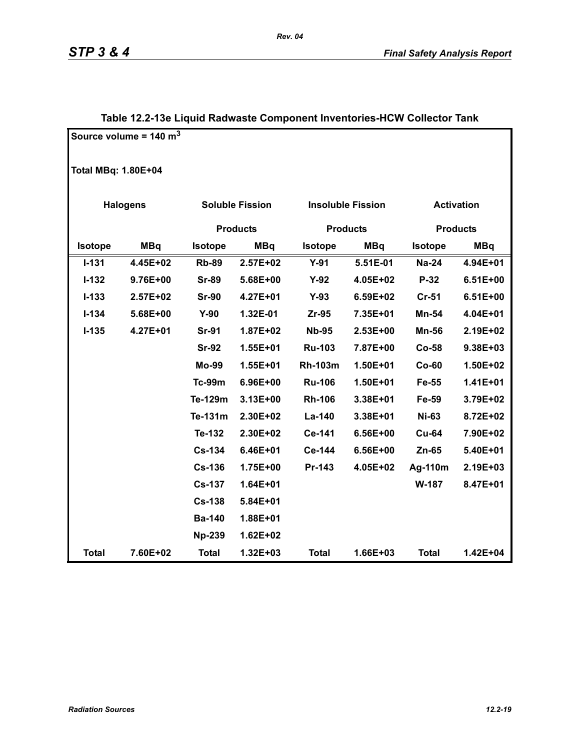|                | Source volume = $140 \text{ m}^3$ |               |                        |                 |                          |                   |                 |  |  |  |  |
|----------------|-----------------------------------|---------------|------------------------|-----------------|--------------------------|-------------------|-----------------|--|--|--|--|
|                | <b>Total MBq: 1.80E+04</b>        |               |                        |                 |                          |                   |                 |  |  |  |  |
|                | <b>Halogens</b>                   |               | <b>Soluble Fission</b> |                 | <b>Insoluble Fission</b> | <b>Activation</b> |                 |  |  |  |  |
|                |                                   |               | <b>Products</b>        | <b>Products</b> |                          |                   | <b>Products</b> |  |  |  |  |
| <b>Isotope</b> | <b>MBq</b>                        | Isotope       | <b>MBq</b>             | Isotope         | <b>MBq</b>               | <b>Isotope</b>    | <b>MBq</b>      |  |  |  |  |
| $I - 131$      | 4.45E+02                          | <b>Rb-89</b>  | 2.57E+02               | $Y-91$          | 5.51E-01                 | <b>Na-24</b>      | 4.94E+01        |  |  |  |  |
| $I - 132$      | 9.76E+00                          | <b>Sr-89</b>  | 5.68E+00               | $Y-92$          | 4.05E+02                 | $P-32$            | $6.51E+00$      |  |  |  |  |
| $I-133$        | 2.57E+02                          | <b>Sr-90</b>  | 4.27E+01               | $Y-93$          | 6.59E+02                 | $Cr-51$           | $6.51E+00$      |  |  |  |  |
| $I - 134$      | 5.68E+00                          | $Y-90$        | 1.32E-01               | Zr-95           | 7.35E+01                 | Mn-54             | 4.04E+01        |  |  |  |  |
| $I-135$        | 4.27E+01                          | <b>Sr-91</b>  | 1.87E+02               | <b>Nb-95</b>    | 2.53E+00                 | <b>Mn-56</b>      | 2.19E+02        |  |  |  |  |
|                |                                   | <b>Sr-92</b>  | 1.55E+01               | <b>Ru-103</b>   | 7.87E+00                 | <b>Co-58</b>      | 9.38E+03        |  |  |  |  |
|                |                                   | <b>Mo-99</b>  | 1.55E+01               | <b>Rh-103m</b>  | 1.50E+01                 | $Co-60$           | 1.50E+02        |  |  |  |  |
|                |                                   | <b>Tc-99m</b> | 6.96E+00               | <b>Ru-106</b>   | 1.50E+01                 | Fe-55             | $1.41E + 01$    |  |  |  |  |
|                |                                   | Te-129m       | 3.13E+00               | <b>Rh-106</b>   | 3.38E+01                 | Fe-59             | 3.79E+02        |  |  |  |  |
|                |                                   | Te-131m       | 2.30E+02               | La-140          | 3.38E+01                 | <b>Ni-63</b>      | 8.72E+02        |  |  |  |  |
|                |                                   | Te-132        | 2.30E+02               | Ce-141          | 6.56E+00                 | <b>Cu-64</b>      | 7.90E+02        |  |  |  |  |
|                |                                   | <b>Cs-134</b> | 6.46E+01               | Ce-144          | 6.56E+00                 | Zn-65             | 5.40E+01        |  |  |  |  |
|                |                                   | <b>Cs-136</b> | 1.75E+00               | Pr-143          | 4.05E+02                 | Ag-110m           | 2.19E+03        |  |  |  |  |
|                |                                   | <b>Cs-137</b> | 1.64E+01               |                 |                          | W-187             | 8.47E+01        |  |  |  |  |
|                |                                   | <b>Cs-138</b> | 5.84E+01               |                 |                          |                   |                 |  |  |  |  |
|                |                                   | <b>Ba-140</b> | 1.88E+01               |                 |                          |                   |                 |  |  |  |  |
|                |                                   | <b>Np-239</b> | $1.62E + 02$           |                 |                          |                   |                 |  |  |  |  |
| <b>Total</b>   | 7.60E+02                          | <b>Total</b>  | $1.32E + 03$           | <b>Total</b>    | 1.66E+03                 | <b>Total</b>      | 1.42E+04        |  |  |  |  |

# **Table 12.2-13e Liquid Radwaste Component Inventories-HCW Collector Tank**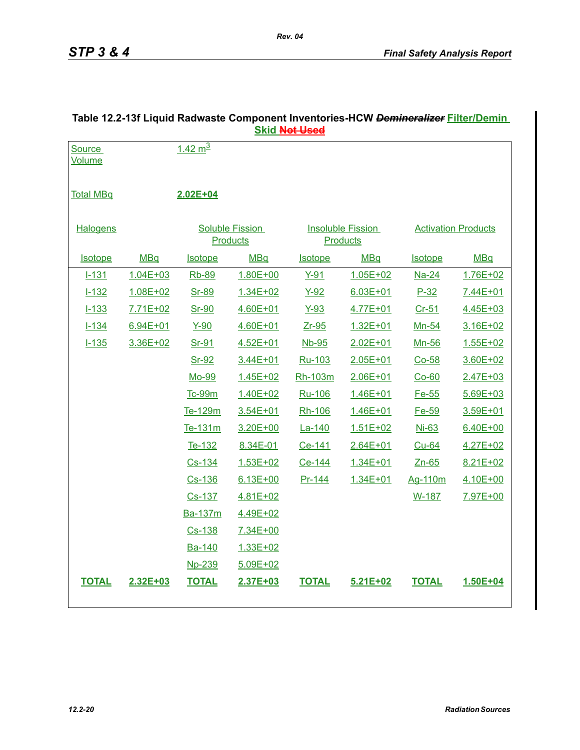|                  |              |                    |                        | <u> SKIU <del>NULUSUU</del></u> |                          |                |                            |
|------------------|--------------|--------------------|------------------------|---------------------------------|--------------------------|----------------|----------------------------|
| Source           |              | $1.42 \text{ m}^3$ |                        |                                 |                          |                |                            |
| <b>Volume</b>    |              |                    |                        |                                 |                          |                |                            |
|                  |              |                    |                        |                                 |                          |                |                            |
| <b>Total MBq</b> |              | 2.02E+04           |                        |                                 |                          |                |                            |
|                  |              |                    |                        |                                 |                          |                |                            |
| <b>Halogens</b>  |              |                    | <b>Soluble Fission</b> |                                 | <b>Insoluble Fission</b> |                | <b>Activation Products</b> |
|                  |              |                    | <b>Products</b>        |                                 | <b>Products</b>          |                |                            |
| <b>Isotope</b>   | <b>MBq</b>   | <b>Isotope</b>     | <b>MBq</b>             | <b>Isotope</b>                  | <b>MBq</b>               | <b>Isotope</b> | <b>MBq</b>                 |
| $1 - 131$        | $1.04E + 03$ | <b>Rb-89</b>       | $1.80E + 00$           | $Y-91$                          | $1.05E + 02$             | <b>Na-24</b>   | 1.76E+02                   |
| $1 - 132$        | 1.08E+02     | Sr-89              | 1.34E+02               | $Y-92$                          | $6.03E + 01$             | $P-32$         | 7.44E+01                   |
| $1 - 133$        | $7.71E + 02$ | Sr-90              | $4.60E + 01$           | $Y-93$                          | 4.77E+01                 | $Cr-51$        | 4.45E+03                   |
| $1 - 134$        | $6.94E + 01$ | $Y-90$             | 4.60E+01               | $Zr-95$                         | $1.32E + 01$             | Mn-54          | 3.16E+02                   |
| $1 - 135$        | 3.36E+02     | Sr-91              | $4.52E + 01$           | Nb-95                           | $2.02E + 01$             | Mn-56          | 1.55E+02                   |
|                  |              | Sr-92              | 3.44E+01               | Ru-103                          | 2.05E+01                 | $Co-58$        | 3.60E+02                   |
|                  |              | Mo-99              | 1.45E+02               | Rh-103m                         | 2.06E+01                 | $Co-60$        | 2.47E+03                   |
|                  |              | <b>Tc-99m</b>      | 1.40E+02               | Ru-106                          | $1.46E + 01$             | Fe-55          | $5.69E + 03$               |
|                  |              | Te-129m            | 3.54E+01               | Rh-106                          | 1.46E+01                 | Fe-59          | 3.59E+01                   |
|                  |              | Te-131m            | 3.20E+00               | La-140                          | $1.51E + 02$             | <b>Ni-63</b>   | 6.40E+00                   |
|                  |              | Te-132             | 8.34E-01               | Ce-141                          | 2.64E+01                 | <b>Cu-64</b>   | 4.27E+02                   |
|                  |              | Cs-134             | $1.53E + 02$           | Ce-144                          | 1.34E+01                 | $Zn-65$        | 8.21E+02                   |
|                  |              | Cs-136             | $6.13E + 00$           | Pr-144                          | $1.34E + 01$             | Ag-110m        | 4.10E+00                   |
|                  |              | Cs-137             | 4.81E+02               |                                 |                          | W-187          | 7.97E+00                   |
|                  |              | Ba-137m            | 4.49E+02               |                                 |                          |                |                            |
|                  |              | Cs-138             | 7.34E+00               |                                 |                          |                |                            |
|                  |              | Ba-140             | 1.33E+02               |                                 |                          |                |                            |
|                  |              | <b>Np-239</b>      | $5.09E + 02$           |                                 |                          |                |                            |
| <b>TOTAL</b>     | 2.32E+03     | <b>TOTAL</b>       | 2.37E+03               | <b>TOTAL</b>                    | $5.21E + 02$             | <b>TOTAL</b>   | 1.50E+04                   |
|                  |              |                    |                        |                                 |                          |                |                            |
|                  |              |                    |                        |                                 |                          |                |                            |

# **Table 12.2-13f Liquid Radwaste Component Inventories-HCW** *Demineralizer* **Filter/Demin Skid Not Used**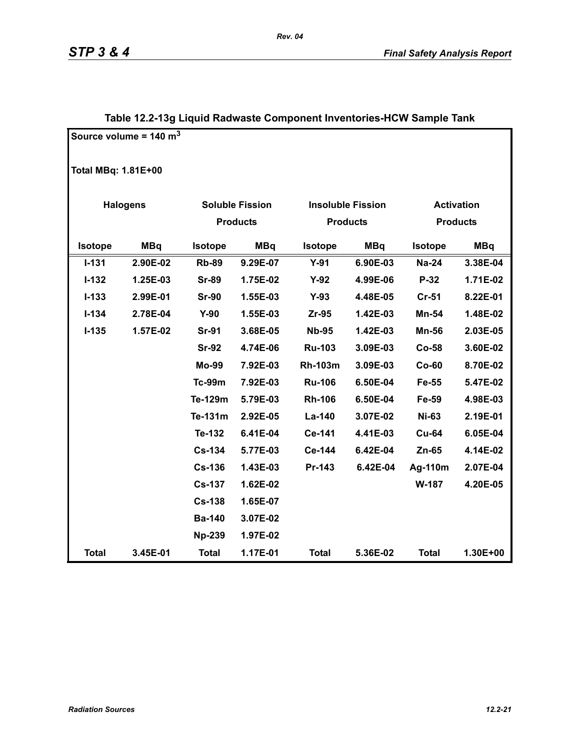|                | Source volume = $140 \text{ m}^3$ |               |                        |                          |            |                |                   |  |  |  |  |  |
|----------------|-----------------------------------|---------------|------------------------|--------------------------|------------|----------------|-------------------|--|--|--|--|--|
|                | <b>Total MBq: 1.81E+00</b>        |               |                        |                          |            |                |                   |  |  |  |  |  |
|                | <b>Halogens</b>                   |               | <b>Soluble Fission</b> | <b>Insoluble Fission</b> |            |                | <b>Activation</b> |  |  |  |  |  |
|                |                                   |               | <b>Products</b>        | <b>Products</b>          |            |                | <b>Products</b>   |  |  |  |  |  |
| <b>Isotope</b> | <b>MBq</b>                        | Isotope       | <b>MBq</b>             | Isotope                  | <b>MBq</b> | <b>Isotope</b> | <b>MBq</b>        |  |  |  |  |  |
| $I - 131$      | 2.90E-02                          | <b>Rb-89</b>  | 9.29E-07               | $Y-91$                   | 6.90E-03   | <b>Na-24</b>   | 3.38E-04          |  |  |  |  |  |
| $I-132$        | 1.25E-03                          | <b>Sr-89</b>  | 1.75E-02               | $Y-92$                   | 4.99E-06   | $P-32$         | 1.71E-02          |  |  |  |  |  |
| $I - 133$      | 2.99E-01                          | <b>Sr-90</b>  | 1.55E-03               | $Y-93$                   | 4.48E-05   | <b>Cr-51</b>   | 8.22E-01          |  |  |  |  |  |
| $I - 134$      | 2.78E-04                          | $Y-90$        | 1.55E-03               | Zr-95                    | 1.42E-03   | <b>Mn-54</b>   | 1.48E-02          |  |  |  |  |  |
| $I-135$        | 1.57E-02                          | <b>Sr-91</b>  | 3.68E-05               | <b>Nb-95</b>             | 1.42E-03   | <b>Mn-56</b>   | 2.03E-05          |  |  |  |  |  |
|                |                                   | <b>Sr-92</b>  | 4.74E-06               | <b>Ru-103</b>            | 3.09E-03   | <b>Co-58</b>   | 3.60E-02          |  |  |  |  |  |
|                |                                   | <b>Mo-99</b>  | 7.92E-03               | <b>Rh-103m</b>           | 3.09E-03   | $Co-60$        | 8.70E-02          |  |  |  |  |  |
|                |                                   | <b>Tc-99m</b> | 7.92E-03               | <b>Ru-106</b>            | 6.50E-04   | Fe-55          | 5.47E-02          |  |  |  |  |  |
|                |                                   | Te-129m       | 5.79E-03               | <b>Rh-106</b>            | 6.50E-04   | Fe-59          | 4.98E-03          |  |  |  |  |  |
|                |                                   | Te-131m       | 2.92E-05               | La-140                   | 3.07E-02   | <b>Ni-63</b>   | 2.19E-01          |  |  |  |  |  |
|                |                                   | Te-132        | 6.41E-04               | Ce-141                   | 4.41E-03   | <b>Cu-64</b>   | 6.05E-04          |  |  |  |  |  |
|                |                                   | <b>Cs-134</b> | 5.77E-03               | Ce-144                   | 6.42E-04   | $Zn-65$        | 4.14E-02          |  |  |  |  |  |
|                |                                   | <b>Cs-136</b> | 1.43E-03               | Pr-143                   | 6.42E-04   | Ag-110m        | 2.07E-04          |  |  |  |  |  |
|                |                                   | <b>Cs-137</b> | 1.62E-02               |                          |            | W-187          | 4.20E-05          |  |  |  |  |  |
|                |                                   | <b>Cs-138</b> | 1.65E-07               |                          |            |                |                   |  |  |  |  |  |
|                |                                   | <b>Ba-140</b> | 3.07E-02               |                          |            |                |                   |  |  |  |  |  |
|                |                                   | <b>Np-239</b> | 1.97E-02               |                          |            |                |                   |  |  |  |  |  |
| <b>Total</b>   | 3.45E-01                          | <b>Total</b>  | 1.17E-01               | <b>Total</b>             | 5.36E-02   | <b>Total</b>   | 1.30E+00          |  |  |  |  |  |

# **Table 12.2-13g Liquid Radwaste Component Inventories-HCW Sample Tank**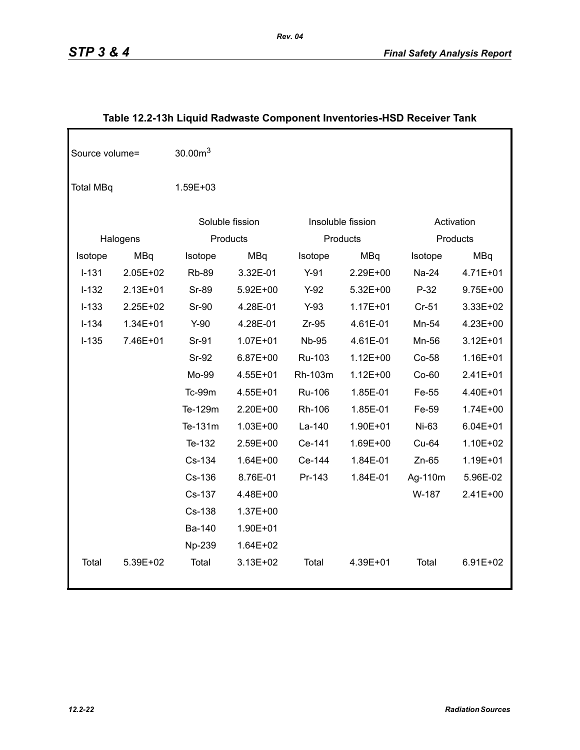| Source volume=   |            | 30.00m <sup>3</sup> |                 |              |                   |         |              |
|------------------|------------|---------------------|-----------------|--------------|-------------------|---------|--------------|
| <b>Total MBq</b> |            | 1.59E+03            |                 |              |                   |         |              |
|                  |            |                     | Soluble fission |              | Insoluble fission |         | Activation   |
|                  | Halogens   |                     | Products        |              | Products          |         | Products     |
| Isotope          | <b>MBq</b> | Isotope             | <b>MBq</b>      | Isotope      | <b>MBq</b>        | Isotope | <b>MBq</b>   |
| $I-131$          | 2.05E+02   | <b>Rb-89</b>        | 3.32E-01        | $Y-91$       | 2.29E+00          | Na-24   | 4.71E+01     |
| $I-132$          | 2.13E+01   | <b>Sr-89</b>        | 5.92E+00        | $Y-92$       | 5.32E+00          | $P-32$  | $9.75E + 00$ |
| $I - 133$        | 2.25E+02   | <b>Sr-90</b>        | 4.28E-01        | $Y-93$       | $1.17E + 01$      | $Cr-51$ | 3.33E+02     |
| $I - 134$        | 1.34E+01   | $Y-90$              | 4.28E-01        | $Zr-95$      | 4.61E-01          | Mn-54   | 4.23E+00     |
| $I-135$          | 7.46E+01   | Sr-91               | $1.07E + 01$    | <b>Nb-95</b> | 4.61E-01          | Mn-56   | $3.12E + 01$ |
|                  |            | Sr-92               | 6.87E+00        | Ru-103       | $1.12E + 00$      | Co-58   | 1.16E+01     |
|                  |            | Mo-99               | 4.55E+01        | Rh-103m      | $1.12E + 00$      | $Co-60$ | 2.41E+01     |
|                  |            | Tc-99m              | 4.55E+01        | Ru-106       | 1.85E-01          | Fe-55   | 4.40E+01     |
|                  |            | Te-129m             | 2.20E+00        | Rh-106       | 1.85E-01          | Fe-59   | 1.74E+00     |
|                  |            | Te-131m             | $1.03E + 00$    | La-140       | 1.90E+01          | Ni-63   | $6.04E + 01$ |
|                  |            | Te-132              | 2.59E+00        | Ce-141       | 1.69E+00          | Cu-64   | 1.10E+02     |
|                  |            | Cs-134              | 1.64E+00        | Ce-144       | 1.84E-01          | $Zn-65$ | 1.19E+01     |
|                  |            | Cs-136              | 8.76E-01        | Pr-143       | 1.84E-01          | Ag-110m | 5.96E-02     |
|                  |            | Cs-137              | 4.48E+00        |              |                   | W-187   | 2.41E+00     |
|                  |            | Cs-138              | 1.37E+00        |              |                   |         |              |
|                  |            | Ba-140              | 1.90E+01        |              |                   |         |              |
|                  |            | Np-239              | 1.64E+02        |              |                   |         |              |
| Total            | 5.39E+02   | Total               | 3.13E+02        | Total        | 4.39E+01          | Total   | 6.91E+02     |

# **Table 12.2-13h Liquid Radwaste Component Inventories-HSD Receiver Tank**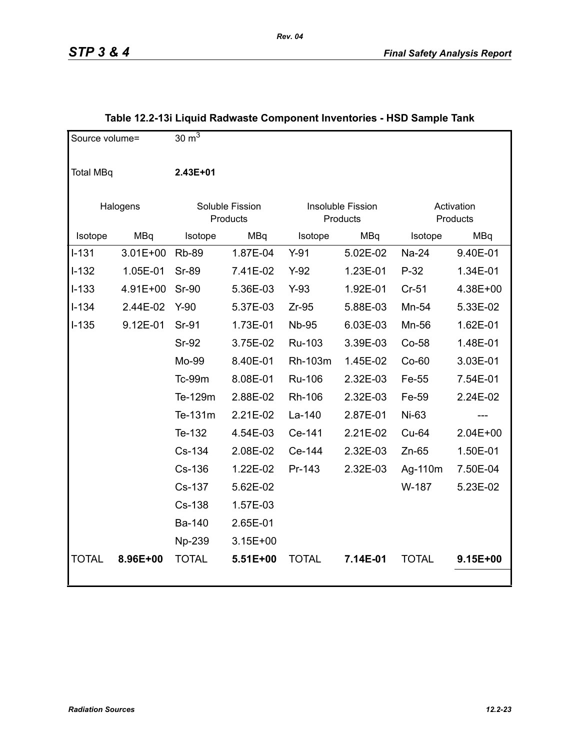| Source volume=   |              | 30 $\overline{m^3}$ |                             |                               |          |              |                        |
|------------------|--------------|---------------------|-----------------------------|-------------------------------|----------|--------------|------------------------|
| <b>Total MBq</b> |              | 2.43E+01            |                             |                               |          |              |                        |
|                  | Halogens     |                     | Soluble Fission<br>Products | Insoluble Fission<br>Products |          |              | Activation<br>Products |
| Isotope          | MBq          | Isotope             | MBq                         | Isotope                       | MBq      | Isotope      | MBq                    |
| $I - 131$        | $3.01E + 00$ | <b>Rb-89</b>        | 1.87E-04                    | $Y-91$                        | 5.02E-02 | Na-24        | 9.40E-01               |
| $I-132$          | 1.05E-01     | <b>Sr-89</b>        | 7.41E-02                    | $Y-92$                        | 1.23E-01 | $P-32$       | 1.34E-01               |
| $I - 133$        | 4.91E+00     | <b>Sr-90</b>        | 5.36E-03                    | $Y-93$                        | 1.92E-01 | $Cr-51$      | 4.38E+00               |
| $I-134$          | 2.44E-02     | $Y-90$              | 5.37E-03                    | $Zr-95$                       | 5.88E-03 | Mn-54        | 5.33E-02               |
| $I-135$          | 9.12E-01     | Sr-91               | 1.73E-01                    | <b>Nb-95</b>                  | 6.03E-03 | Mn-56        | 1.62E-01               |
|                  |              | <b>Sr-92</b>        | 3.75E-02                    | Ru-103                        | 3.39E-03 | Co-58        | 1.48E-01               |
|                  |              | Mo-99               | 8.40E-01                    | Rh-103m                       | 1.45E-02 | Co-60        | 3.03E-01               |
|                  |              | Tc-99m              | 8.08E-01                    | <b>Ru-106</b>                 | 2.32E-03 | Fe-55        | 7.54E-01               |
|                  |              | Te-129m             | 2.88E-02                    | Rh-106                        | 2.32E-03 | Fe-59        | 2.24E-02               |
|                  |              | Te-131m             | 2.21E-02                    | La-140                        | 2.87E-01 | Ni-63        |                        |
|                  |              | Te-132              | 4.54E-03                    | Ce-141                        | 2.21E-02 | Cu-64        | $2.04E+00$             |
|                  |              | Cs-134              | 2.08E-02                    | Ce-144                        | 2.32E-03 | $Zn-65$      | 1.50E-01               |
|                  |              | Cs-136              | 1.22E-02                    | Pr-143                        | 2.32E-03 | Ag-110m      | 7.50E-04               |
|                  |              | Cs-137              | 5.62E-02                    |                               |          | W-187        | 5.23E-02               |
|                  |              | Cs-138              | 1.57E-03                    |                               |          |              |                        |
|                  |              | Ba-140              | 2.65E-01                    |                               |          |              |                        |
|                  |              | Np-239              | $3.15E + 00$                |                               |          |              |                        |
| <b>TOTAL</b>     | 8.96E+00     | <b>TOTAL</b>        | 5.51E+00                    | <b>TOTAL</b>                  | 7.14E-01 | <b>TOTAL</b> | 9.15E+00               |

# **Table 12.2-13i Liquid Radwaste Component Inventories - HSD Sample Tank**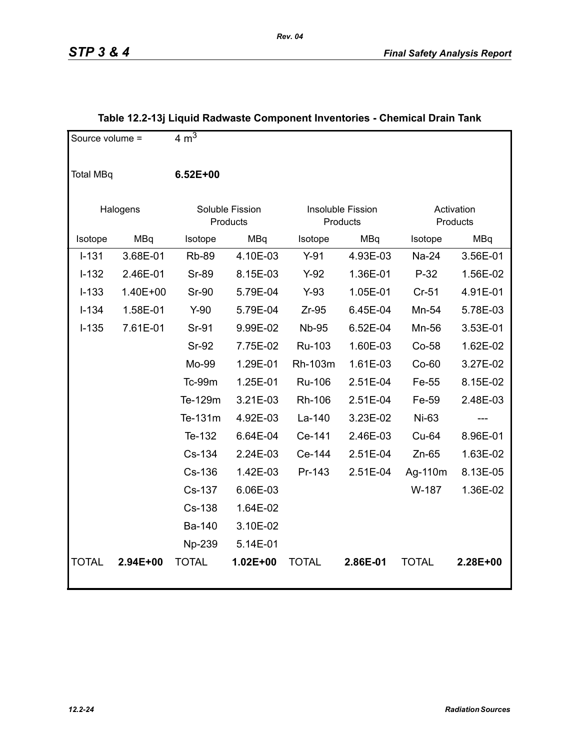| Source volume =  |            | 4 m <sup>3</sup> |                             |              |                               |              |                        |
|------------------|------------|------------------|-----------------------------|--------------|-------------------------------|--------------|------------------------|
| <b>Total MBq</b> |            | 6.52E+00         |                             |              |                               |              |                        |
|                  | Halogens   |                  | Soluble Fission<br>Products |              | Insoluble Fission<br>Products |              | Activation<br>Products |
| Isotope          | <b>MBq</b> | Isotope          | MBq                         | Isotope      | MBq                           | Isotope      | MBq                    |
| $I - 131$        | 3.68E-01   | <b>Rb-89</b>     | 4.10E-03                    | $Y-91$       | 4.93E-03                      | Na-24        | 3.56E-01               |
| $I-132$          | 2.46E-01   | <b>Sr-89</b>     | 8.15E-03                    | $Y-92$       | 1.36E-01                      | $P-32$       | 1.56E-02               |
| $I-133$          | 1.40E+00   | <b>Sr-90</b>     | 5.79E-04                    | $Y-93$       | 1.05E-01                      | $Cr-51$      | 4.91E-01               |
| $I - 134$        | 1.58E-01   | $Y-90$           | 5.79E-04                    | $Zr-95$      | 6.45E-04                      | Mn-54        | 5.78E-03               |
| $I-135$          | 7.61E-01   | Sr-91            | 9.99E-02                    | <b>Nb-95</b> | 6.52E-04                      | Mn-56        | 3.53E-01               |
|                  |            | <b>Sr-92</b>     | 7.75E-02                    | Ru-103       | 1.60E-03                      | $Co-58$      | 1.62E-02               |
|                  |            | Mo-99            | 1.29E-01                    | Rh-103m      | 1.61E-03                      | $Co-60$      | 3.27E-02               |
|                  |            | Tc-99m           | 1.25E-01                    | Ru-106       | 2.51E-04                      | Fe-55        | 8.15E-02               |
|                  |            | Te-129m          | 3.21E-03                    | Rh-106       | 2.51E-04                      | Fe-59        | 2.48E-03               |
|                  |            | Te-131m          | 4.92E-03                    | La-140       | 3.23E-02                      | Ni-63        |                        |
|                  |            | Te-132           | 6.64E-04                    | Ce-141       | 2.46E-03                      | Cu-64        | 8.96E-01               |
|                  |            | Cs-134           | 2.24E-03                    | Ce-144       | 2.51E-04                      | $Zn-65$      | 1.63E-02               |
|                  |            | Cs-136           | 1.42E-03                    | Pr-143       | 2.51E-04                      | Ag-110m      | 8.13E-05               |
|                  |            | Cs-137           | 6.06E-03                    |              |                               | W-187        | 1.36E-02               |
|                  |            | Cs-138           | 1.64E-02                    |              |                               |              |                        |
|                  |            | Ba-140           | 3.10E-02                    |              |                               |              |                        |
|                  |            | Np-239           | 5.14E-01                    |              |                               |              |                        |
| <b>TOTAL</b>     | 2.94E+00   | <b>TOTAL</b>     | 1.02E+00                    | <b>TOTAL</b> | 2.86E-01                      | <b>TOTAL</b> | 2.28E+00               |

# **Table 12.2-13j Liquid Radwaste Component Inventories - Chemical Drain Tank**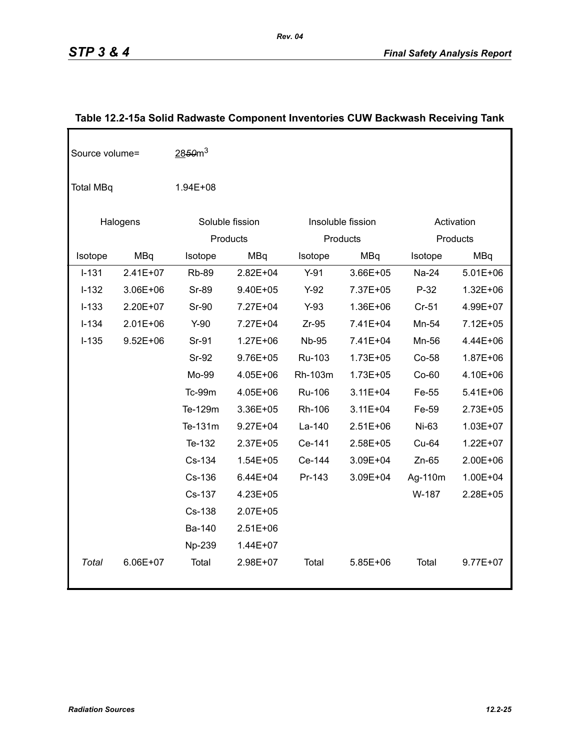| Source volume=   |              | 2850 <sup>3</sup> |                 |              |                   |         |              |
|------------------|--------------|-------------------|-----------------|--------------|-------------------|---------|--------------|
| <b>Total MBq</b> |              | $1.94E + 08$      |                 |              |                   |         |              |
|                  | Halogens     |                   | Soluble fission |              | Insoluble fission |         | Activation   |
|                  |              |                   | Products        |              | Products          |         | Products     |
| Isotope          | <b>MBq</b>   | Isotope           | <b>MBq</b>      | Isotope      | <b>MBq</b>        | Isotope | <b>MBq</b>   |
| $I-131$          | 2.41E+07     | <b>Rb-89</b>      | $2.82E + 04$    | $Y-91$       | 3.66E+05          | Na-24   | $5.01E + 06$ |
| $I-132$          | 3.06E+06     | <b>Sr-89</b>      | 9.40E+05        | $Y-92$       | 7.37E+05          | $P-32$  | $1.32E + 06$ |
| $I-133$          | 2.20E+07     | <b>Sr-90</b>      | 7.27E+04        | $Y-93$       | 1.36E+06          | $Cr-51$ | 4.99E+07     |
| $I-134$          | $2.01E + 06$ | $Y-90$            | 7.27E+04        | $Zr-95$      | 7.41E+04          | Mn-54   | 7.12E+05     |
| $I-135$          | $9.52E + 06$ | Sr-91             | $1.27E + 06$    | <b>Nb-95</b> | 7.41E+04          | Mn-56   | 4.44E+06     |
|                  |              | <b>Sr-92</b>      | 9.76E+05        | Ru-103       | $1.73E + 05$      | Co-58   | 1.87E+06     |
|                  |              | Mo-99             | 4.05E+06        | Rh-103m      | 1.73E+05          | Co-60   | 4.10E+06     |
|                  |              | <b>Tc-99m</b>     | 4.05E+06        | Ru-106       | $3.11E + 04$      | Fe-55   | 5.41E+06     |
|                  |              | Te-129m           | 3.36E+05        | Rh-106       | $3.11E + 04$      | Fe-59   | 2.73E+05     |
|                  |              | Te-131m           | $9.27E + 04$    | La-140       | $2.51E+06$        | Ni-63   | $1.03E + 07$ |
|                  |              | Te-132            | $2.37E + 05$    | Ce-141       | 2.58E+05          | Cu-64   | $1.22E + 07$ |
|                  |              | Cs-134            | $1.54E + 05$    | Ce-144       | 3.09E+04          | $Zn-65$ | 2.00E+06     |
|                  |              | Cs-136            | $6.44E + 04$    | Pr-143       | 3.09E+04          | Ag-110m | 1.00E+04     |
|                  |              | Cs-137            | 4.23E+05        |              |                   | W-187   | 2.28E+05     |
|                  |              | Cs-138            | 2.07E+05        |              |                   |         |              |
|                  |              | Ba-140            | $2.51E+06$      |              |                   |         |              |
|                  |              | Np-239            | 1.44E+07        |              |                   |         |              |
| Total            | 6.06E+07     | Total             | 2.98E+07        | Total        | $5.85E + 06$      | Total   | 9.77E+07     |

# **Table 12.2-15a Solid Radwaste Component Inventories CUW Backwash Receiving Tank**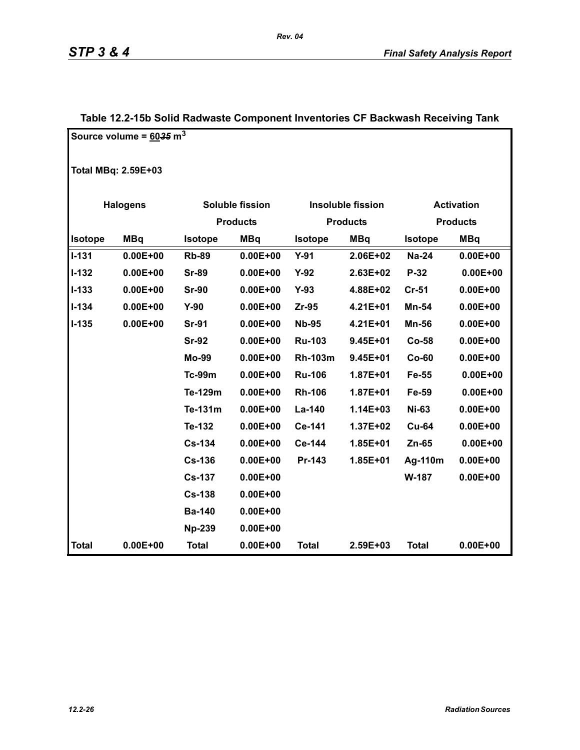|                            | Source volume = $60.35 \text{ m}^3$ |                |                 |                |                          |                   |                 |  |  |
|----------------------------|-------------------------------------|----------------|-----------------|----------------|--------------------------|-------------------|-----------------|--|--|
|                            |                                     |                |                 |                |                          |                   |                 |  |  |
| <b>Total MBq: 2.59E+03</b> |                                     |                |                 |                |                          |                   |                 |  |  |
|                            | <b>Halogens</b>                     |                | Soluble fission |                | <b>Insoluble fission</b> | <b>Activation</b> |                 |  |  |
|                            |                                     |                | <b>Products</b> |                | <b>Products</b>          |                   | <b>Products</b> |  |  |
| Isotope                    | <b>MBq</b>                          | <b>Isotope</b> | <b>MBq</b>      | <b>Isotope</b> | <b>MBq</b>               | Isotope           | <b>MBq</b>      |  |  |
| $I - 131$                  | $0.00E + 00$                        | <b>Rb-89</b>   | $0.00E + 00$    | $Y-91$         | 2.06E+02                 | <b>Na-24</b>      | $0.00E + 00$    |  |  |
| $I - 132$                  | $0.00E + 00$                        | <b>Sr-89</b>   | $0.00E + 00$    | $Y-92$         | 2.63E+02                 | P-32              | $0.00E + 00$    |  |  |
| $I-133$                    | $0.00E + 00$                        | <b>Sr-90</b>   | $0.00E + 00$    | $Y-93$         | 4.88E+02                 | $Cr-51$           | $0.00E + 00$    |  |  |
| $I - 134$                  | $0.00E + 00$                        | $Y-90$         | $0.00E + 00$    | Zr-95          | 4.21E+01                 | Mn-54             | $0.00E + 00$    |  |  |
| $I-135$                    | $0.00E + 00$                        | <b>Sr-91</b>   | $0.00E + 00$    | <b>Nb-95</b>   | 4.21E+01                 | Mn-56             | $0.00E + 00$    |  |  |
|                            |                                     | <b>Sr-92</b>   | $0.00E + 00$    | <b>Ru-103</b>  | $9.45E + 01$             | Co-58             | $0.00E + 00$    |  |  |
|                            |                                     | <b>Mo-99</b>   | $0.00E + 00$    | <b>Rh-103m</b> | $9.45E + 01$             | $Co-60$           | $0.00E + 00$    |  |  |
|                            |                                     | <b>Tc-99m</b>  | $0.00E + 00$    | <b>Ru-106</b>  | $1.87E + 01$             | Fe-55             | $0.00E + 00$    |  |  |
|                            |                                     | Te-129m        | $0.00E + 00$    | <b>Rh-106</b>  | $1.87E + 01$             | Fe-59             | $0.00E + 00$    |  |  |
|                            |                                     | Te-131m        | $0.00E + 00$    | La-140         | 1.14E+03                 | <b>Ni-63</b>      | $0.00E + 00$    |  |  |
|                            |                                     | Te-132         | $0.00E + 00$    | Ce-141         | 1.37E+02                 | <b>Cu-64</b>      | $0.00E + 00$    |  |  |
|                            |                                     | <b>Cs-134</b>  | $0.00E + 00$    | Ce-144         | 1.85E+01                 | $Zn-65$           | $0.00E + 00$    |  |  |
|                            |                                     | <b>Cs-136</b>  | $0.00E + 00$    | Pr-143         | 1.85E+01                 | Ag-110m           | $0.00E + 00$    |  |  |
|                            |                                     | <b>Cs-137</b>  | $0.00E + 00$    |                |                          | W-187             | $0.00E + 00$    |  |  |
|                            |                                     | <b>Cs-138</b>  | $0.00E + 00$    |                |                          |                   |                 |  |  |
|                            |                                     | <b>Ba-140</b>  | $0.00E + 00$    |                |                          |                   |                 |  |  |
|                            |                                     | <b>Np-239</b>  | $0.00E + 00$    |                |                          |                   |                 |  |  |
| <b>Total</b>               | $0.00E + 00$                        | <b>Total</b>   | $0.00E + 00$    | <b>Total</b>   | 2.59E+03                 | <b>Total</b>      | $0.00E + 00$    |  |  |

# **Table 12.2-15b Solid Radwaste Component Inventories CF Backwash Receiving Tank**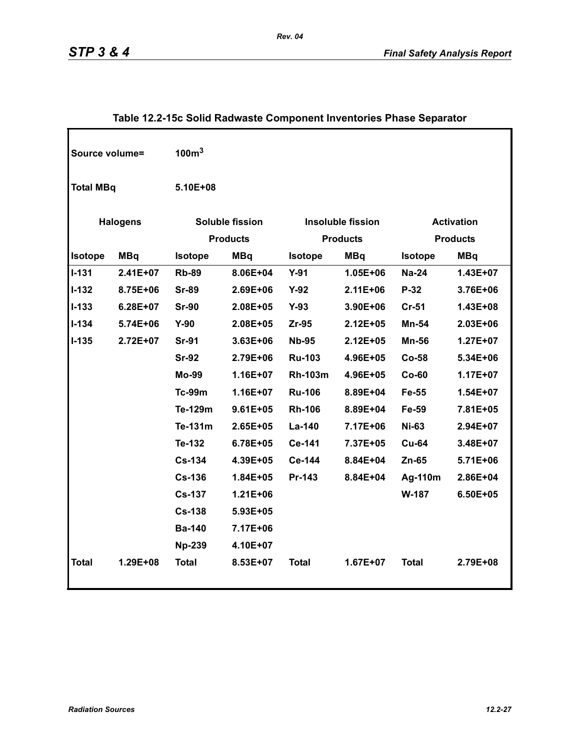| Source volume=   |                 | 100 <sup>3</sup>                   |              |                                      |              |                                      |            |
|------------------|-----------------|------------------------------------|--------------|--------------------------------------|--------------|--------------------------------------|------------|
| <b>Total MBq</b> |                 | 5.10E+08                           |              |                                      |              |                                      |            |
|                  | <b>Halogens</b> | Soluble fission<br><b>Products</b> |              | Insoluble fission<br><b>Products</b> |              | <b>Activation</b><br><b>Products</b> |            |
| Isotope          | <b>MBq</b>      | Isotope                            | <b>MBq</b>   | <b>Isotope</b>                       | <b>MBq</b>   | <b>Isotope</b>                       | <b>MBq</b> |
| $I-131$          | 2.41E+07        | <b>Rb-89</b>                       | 8.06E+04     | $Y-91$                               | 1.05E+06     | <b>Na-24</b>                         | 1.43E+07   |
| $I-132$          | 8.75E+06        | <b>Sr-89</b>                       | 2.69E+06     | $Y-92$                               | $2.11E + 06$ | P-32                                 | 3.76E+06   |
| $I-133$          | $6.28E + 07$    | <b>Sr-90</b>                       | 2.08E+05     | $Y-93$                               | 3.90E+06     | <b>Cr-51</b>                         | 1.43E+08   |
| $I - 134$        | 5.74E+06        | $Y-90$                             | 2.08E+05     | Zr-95                                | $2.12E + 05$ | Mn-54                                | 2.03E+06   |
| $I - 135$        | 2.72E+07        | <b>Sr-91</b>                       | $3.63E + 06$ | <b>Nb-95</b>                         | $2.12E + 05$ | <b>Mn-56</b>                         | 1.27E+07   |
|                  |                 | <b>Sr-92</b>                       | 2.79E+06     | <b>Ru-103</b>                        | 4.96E+05     | Co-58                                | 5.34E+06   |
|                  |                 | <b>Mo-99</b>                       | $1.16E + 07$ | <b>Rh-103m</b>                       | 4.96E+05     | $Co-60$                              | 1.17E+07   |
|                  |                 | <b>Tc-99m</b>                      | $1.16E + 07$ | <b>Ru-106</b>                        | 8.89E+04     | Fe-55                                | 1.54E+07   |
|                  |                 | Te-129m                            | $9.61E + 05$ | <b>Rh-106</b>                        | 8.89E+04     | Fe-59                                | 7.81E+05   |
|                  |                 | Te-131m                            | 2.65E+05     | La-140                               | 7.17E+06     | <b>Ni-63</b>                         | 2.94E+07   |
|                  |                 | Te-132                             | 6.78E+05     | Ce-141                               | 7.37E+05     | <b>Cu-64</b>                         | 3.48E+07   |
|                  |                 | <b>Cs-134</b>                      | 4.39E+05     | Ce-144                               | 8.84E+04     | $Zn-65$                              | 5.71E+06   |
|                  |                 | <b>Cs-136</b>                      | 1.84E+05     | Pr-143                               | 8.84E+04     | Ag-110m                              | 2.86E+04   |
|                  |                 | <b>Cs-137</b>                      | $1.21E + 06$ |                                      |              | W-187                                | 6.50E+05   |
|                  |                 | <b>Cs-138</b>                      | 5.93E+05     |                                      |              |                                      |            |
|                  |                 | <b>Ba-140</b>                      | 7.17E+06     |                                      |              |                                      |            |
|                  |                 | <b>Np-239</b>                      | 4.10E+07     |                                      |              |                                      |            |
| <b>Total</b>     | 1.29E+08        | <b>Total</b>                       | 8.53E+07     | <b>Total</b>                         | $1.67E + 07$ | <b>Total</b>                         | 2.79E+08   |

# **Table 12.2-15c Solid Radwaste Component Inventories Phase Separator**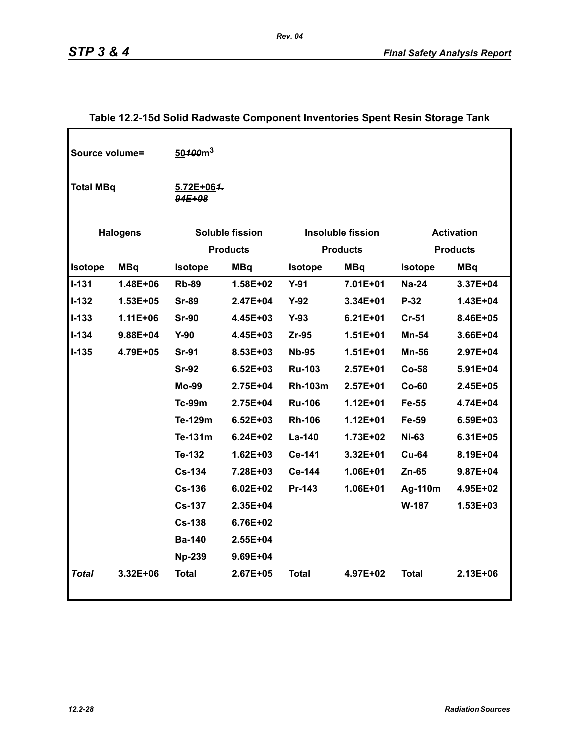| Source volume=   |                 | 50 <del>100</del> m <sup>3</sup> |                        |                |                          |                |                   |
|------------------|-----------------|----------------------------------|------------------------|----------------|--------------------------|----------------|-------------------|
| <b>Total MBq</b> |                 | 5.72E+064.<br>$94E + 08$         |                        |                |                          |                |                   |
|                  |                 |                                  |                        |                |                          |                |                   |
|                  | <b>Halogens</b> |                                  | <b>Soluble fission</b> |                | <b>Insoluble fission</b> |                | <b>Activation</b> |
|                  |                 |                                  | <b>Products</b>        |                | <b>Products</b>          |                | <b>Products</b>   |
| <b>Isotope</b>   | <b>MBq</b>      | <b>Isotope</b>                   | <b>MBq</b>             | <b>Isotope</b> | <b>MBq</b>               | <b>Isotope</b> | <b>MBq</b>        |
| $I - 131$        | 1.48E+06        | <b>Rb-89</b>                     | 1.58E+02               | $Y-91$         | 7.01E+01                 | <b>Na-24</b>   | 3.37E+04          |
| $I-132$          | 1.53E+05        | <b>Sr-89</b>                     | 2.47E+04               | $Y-92$         | 3.34E+01                 | P-32           | 1.43E+04          |
| $I - 133$        | $1.11E + 06$    | <b>Sr-90</b>                     | 4.45E+03               | $Y-93$         | $6.21E + 01$             | $Cr-51$        | 8.46E+05          |
| $I - 134$        | 9.88E+04        | $Y-90$                           | 4.45E+03               | $Zr-95$        | $1.51E + 01$             | Mn-54          | 3.66E+04          |
| $I-135$          | 4.79E+05        | <b>Sr-91</b>                     | 8.53E+03               | <b>Nb-95</b>   | $1.51E + 01$             | <b>Mn-56</b>   | 2.97E+04          |
|                  |                 | <b>Sr-92</b>                     | $6.52E + 03$           | <b>Ru-103</b>  | $2.57E + 01$             | $Co-58$        | 5.91E+04          |
|                  |                 | <b>Mo-99</b>                     | 2.75E+04               | <b>Rh-103m</b> | $2.57E+01$               | $Co-60$        | 2.45E+05          |
|                  |                 | <b>Tc-99m</b>                    | 2.75E+04               | <b>Ru-106</b>  | $1.12E + 01$             | Fe-55          | 4.74E+04          |
|                  |                 | Te-129m                          | $6.52E + 03$           | <b>Rh-106</b>  | $1.12E + 01$             | Fe-59          | 6.59E+03          |
|                  |                 | Te-131m                          | $6.24E + 02$           | La-140         | 1.73E+02                 | <b>Ni-63</b>   | 6.31E+05          |
|                  |                 | Te-132                           | $1.62E + 03$           | Ce-141         | 3.32E+01                 | <b>Cu-64</b>   | 8.19E+04          |
|                  |                 | <b>Cs-134</b>                    | 7.28E+03               | Ce-144         | 1.06E+01                 | $Zn-65$        | 9.87E+04          |
|                  |                 | <b>Cs-136</b>                    | $6.02E + 02$           | Pr-143         | 1.06E+01                 | Ag-110m        | 4.95E+02          |
|                  |                 | <b>Cs-137</b>                    | 2.35E+04               |                |                          | W-187          | 1.53E+03          |
|                  |                 | <b>Cs-138</b>                    | 6.76E+02               |                |                          |                |                   |
|                  |                 | <b>Ba-140</b>                    | 2.55E+04               |                |                          |                |                   |
|                  |                 | <b>Np-239</b>                    | 9.69E+04               |                |                          |                |                   |
| <b>Total</b>     | 3.32E+06        | <b>Total</b>                     | 2.67E+05               | <b>Total</b>   | 4.97E+02                 | <b>Total</b>   | 2.13E+06          |

### **Table 12.2-15d Solid Radwaste Component Inventories Spent Resin Storage Tank**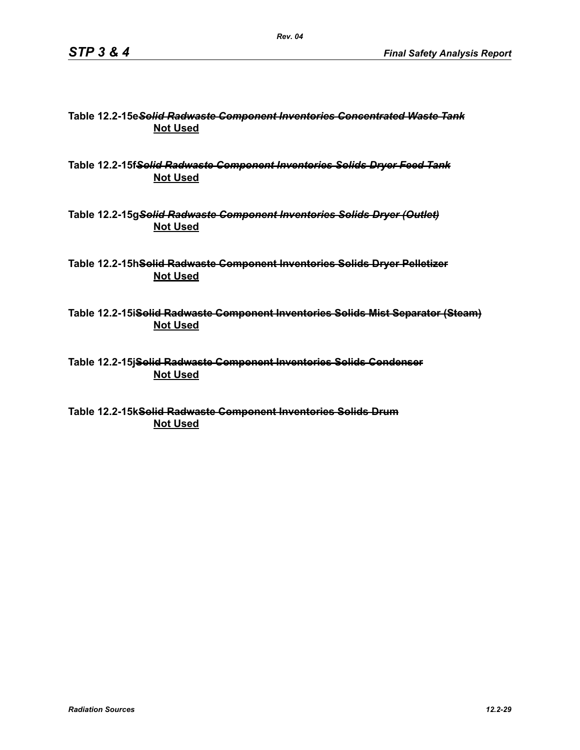#### **Table 12.2-15e***Solid Radwaste Component Inventories Concentrated Waste Tank* **Not Used**

**Table 12.2-15f***Solid Radwaste Component Inventories Solids Dryer Feed Tank* **Not Used**

**Table 12.2-15g***Solid Radwaste Component Inventories Solids Dryer (Outlet)* **Not Used**

**Table 12.2-15hSolid Radwaste Component Inventories Solids Dryer Pelletizer Not Used**

**Table 12.2-15iSolid Radwaste Component Inventories Solids Mist Separator (Steam) Not Used**

**Table 12.2-15jSolid Radwaste Component Inventories Solids Condenser Not Used**

**Table 12.2-15kSolid Radwaste Component Inventories Solids Drum Not Used**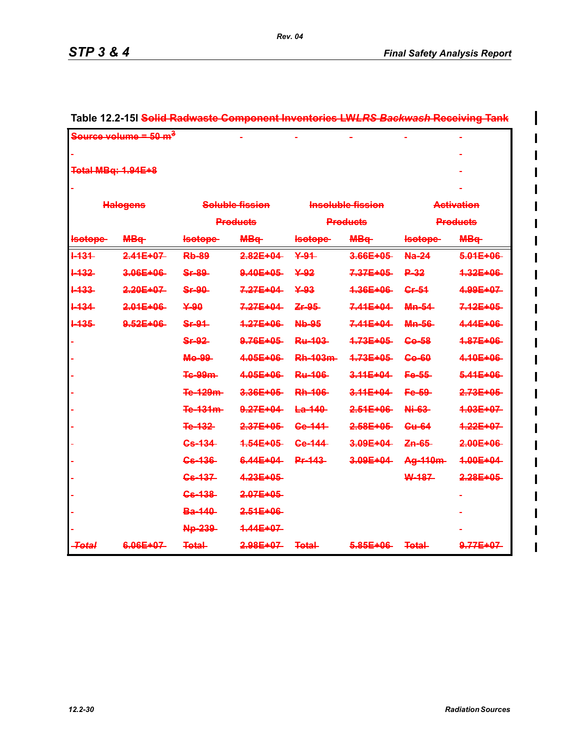I

 $\overline{\phantom{a}}$ 

|                    | <del>Source volume = 50 m<sup>3</sup></del> |                   |                        |                 |                          |                | <u>णञ्ज</u>            |  |  |
|--------------------|---------------------------------------------|-------------------|------------------------|-----------------|--------------------------|----------------|------------------------|--|--|
|                    |                                             |                   |                        |                 |                          |                |                        |  |  |
| Total MBq: 1.94E+8 |                                             |                   |                        |                 |                          |                |                        |  |  |
|                    |                                             |                   |                        |                 |                          |                |                        |  |  |
|                    | <b>Halogens</b>                             |                   | Soluble fission        |                 | <b>Insoluble fission</b> |                | <b>Activation</b>      |  |  |
|                    |                                             |                   | <b>Products</b>        |                 | <b>Products</b>          |                | <b>Products</b>        |  |  |
| <b>Isotope</b>     | <b>MB</b> <sup>+</sup>                      | <b>Isotope</b>    | <b>MB</b> <sub>t</sub> | lsotope-        | <b>MB</b> <sub>t</sub>   | <b>Isotope</b> | <b>MB</b> <sub>q</sub> |  |  |
| $+434-$            | $2.44E + 07$                                | <b>Rb-89</b>      | $2.82E + 04$           | 44              | $3.66E + 05$             | Na-24          | $5.01E + 06$           |  |  |
| <b>H32</b>         | 3.06E+06                                    | <b>Sr-89</b>      | 9.40E+05               | ¥-92            | 7.37E+05                 | P-32           | 4.32E+06               |  |  |
| <b>H33</b>         | $2.20E + 07$                                | <b>Sr-90</b>      | $7.27E + 04$           | ¥-93            | 4.36E+06                 | Cr-54          | 4.99E+07               |  |  |
| $+434$             | $2.01E + 06$                                | 490               | $7.27E + 04$           | Zr-95-          | $7.41E + 04$             | <b>Mn-54</b>   | 7.12E+05               |  |  |
| <b>1435</b>        | 9.52E+06                                    | <b>Sr-94</b>      | 4.27E+06               | <b>Nb-95</b>    | $7.41E + 04$             | <b>Mn-56</b>   | 4.44E+06               |  |  |
|                    |                                             | <b>Sr-92</b>      | 9.76E+05               | Ru-103-         | 4.73E+05-                | <b>Go-58</b>   | 4.87E+06               |  |  |
|                    |                                             | Mo-99             | 4.05E+06               | <b>Rh-103m-</b> | 4.73E+05                 | <b>Go-60</b>   | 4.10E+06               |  |  |
|                    |                                             | <b>Te-99m-</b>    | $4.05E + 06$           | <b>Ru-406</b>   | $3.44E + 04$             | Fe-55          | $5.41E + 06$           |  |  |
|                    |                                             | Te-129m-          | 3.36E+05               | <b>Rh-106</b>   | 3.11E+04                 | Fe-59          | 2.73E+05               |  |  |
|                    |                                             | Te-131m-          | 9.27E+04               | $E0 - 440$      | 2.51E+06                 | Ni-63          | 4.03E+07               |  |  |
|                    |                                             | Te-132            | $2.37E + 05$           | <b>Ge-141</b>   | $2.58E + 05$             | <b>Cu-64</b>   | $4.22E + 07$           |  |  |
|                    |                                             | <del>Cs-134</del> | 4.64E+06-              | Ge-144          | 3.09E+04                 | Zn-65-         | 2.00E+06               |  |  |
|                    |                                             | <del>Cs-136</del> | 6.44E+04               | <b>Pr-143</b>   | 3.09E+04                 | Ag-110m-       | 4.00E+04               |  |  |
|                    |                                             | <del>Cs-137</del> | 4.23E+05               |                 |                          | W-187          | $2.28E + 05$           |  |  |
|                    |                                             | <b>Gs-138</b>     | $2.07E + 05$           |                 |                          |                |                        |  |  |
|                    |                                             | <b>Ba-140</b>     | $2.51E + 06$           |                 |                          |                |                        |  |  |
|                    |                                             | Np-239            | 4.44E+07               |                 |                          |                |                        |  |  |
| <del>-Total</del>  | 6.06E+07                                    | <b>Total</b>      | 2.98E+07               | <b>Total-</b>   | $5.85E + 06$             | <b>Total-</b>  | 9.77E+07               |  |  |

# **Table 12.2-15l Solid Radwaste Component Inventories LW***LRS Backwash* **Receiving Tank**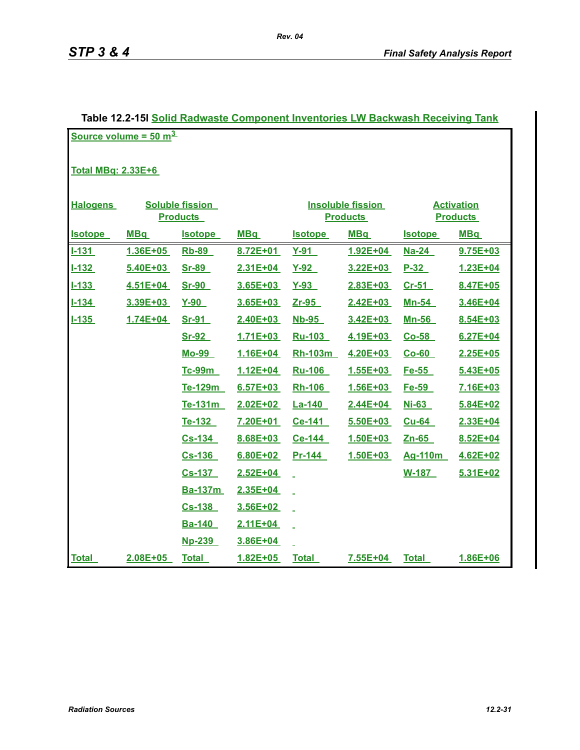| Table 12.2-15  Solid Radwaste Component Inventories LW Backwash Receiving Tank |            |                        |              |                |                          |                |                   |  |  |
|--------------------------------------------------------------------------------|------------|------------------------|--------------|----------------|--------------------------|----------------|-------------------|--|--|
| Source volume = $50 \text{ m}^3$                                               |            |                        |              |                |                          |                |                   |  |  |
|                                                                                |            |                        |              |                |                          |                |                   |  |  |
| <b>Total MBg: 2.33E+6</b>                                                      |            |                        |              |                |                          |                |                   |  |  |
|                                                                                |            |                        |              |                |                          |                |                   |  |  |
| <b>Halogens</b>                                                                |            | <b>Soluble fission</b> |              |                | <b>Insoluble fission</b> |                | <b>Activation</b> |  |  |
|                                                                                |            | <b>Products</b>        |              |                | <b>Products</b>          |                | <b>Products</b>   |  |  |
| <b>Isotope</b>                                                                 | <b>MBq</b> | <b>Isotope</b>         | <b>MBq</b>   | <u>Isotope</u> | <b>MBq</b>               | <u>Isotope</u> | <b>MBq</b>        |  |  |
| $1 - 131$                                                                      | 1.36E+05   | <b>Rb-89</b>           | 8.72E+01     | $Y-91$         | 1.92E+04                 | <b>Na-24</b>   | 9.75E+03          |  |  |
| $1 - 132$                                                                      | 5.40E+03   | <b>Sr-89</b>           | $2.31E + 04$ | $Y-92$         | 3.22E+03                 | $P-32$         | 1.23E+04          |  |  |
| $1 - 133$                                                                      | 4.51E+04   | <b>Sr-90</b>           | 3.65E+03     | $Y-93$         | 2.83E+03                 | $Cr-51$        | 8.47E+05          |  |  |
| $1 - 134$                                                                      | 3.39E+03   | $Y-90$                 | 3.65E+03     | Zr-95          | 2.42E+03                 | <u>Mn-54</u>   | 3.46E+04          |  |  |
| $1 - 135$                                                                      | 1.74E+04   | Sr-91                  | 2.40E+03     | $Nb-95$        | 3.42E+03                 | <u>Mn-56</u>   | 8.54E+03          |  |  |
|                                                                                |            | <u>Sr-92</u>           | 1.71E+03     | Ru-103         | 4.19E+03                 | $Co-58$        | 6.27E+04          |  |  |
|                                                                                |            | <b>Mo-99</b>           | 1.16E+04     | Rh-103m        | 4.20E+03                 | $Co-60$        | 2.25E+05          |  |  |
|                                                                                |            | Tc-99m                 | $1.12E + 04$ | <b>Ru-106</b>  | $1.55E + 03$             | Fe-55          | 5.43E+05          |  |  |
|                                                                                |            | Te-129m                | $6.57E + 03$ | <b>Rh-106</b>  | 1.56E+03                 | Fe-59          | 7.16E+03          |  |  |
|                                                                                |            | Te-131m                | 2.02E+02     | <b>La-140</b>  | 2.44E+04                 | <b>Ni-63</b>   | 5.84E+02          |  |  |
|                                                                                |            | Te-132                 | 7.20E+01     | Ce-141         | 5.50E+03                 | Cu-64          | 2.33E+04          |  |  |
|                                                                                |            | $Cs-134$               | 8.68E+03     | Ce-144         | 1.50E+03                 | $Zn-65$        | 8.52E+04          |  |  |
|                                                                                |            | $Cs-136$               | 6.80E+02     | Pr-144         | 1.50E+03                 | Ag-110m        | 4.62E+02          |  |  |
|                                                                                |            | <u>Cs-137</u>          | 2.52E+04     |                |                          | <b>W-187</b>   | 5.31E+02          |  |  |
|                                                                                |            | <b>Ba-137m</b>         | 2.35E+04     |                |                          |                |                   |  |  |
|                                                                                |            | $Cs-138$               | 3.56E+02     |                |                          |                |                   |  |  |
|                                                                                |            | <u>Ba-140</u>          | 2.11E+04     |                |                          |                |                   |  |  |
|                                                                                |            | <b>Np-239</b>          | 3.86E+04     |                |                          |                |                   |  |  |
| <b>Total</b>                                                                   | 2.08E+05   | <b>Total</b>           | 1.82E+05     | <b>Total</b>   | 7.55E+04                 | <b>Total</b>   | 1.86E+06          |  |  |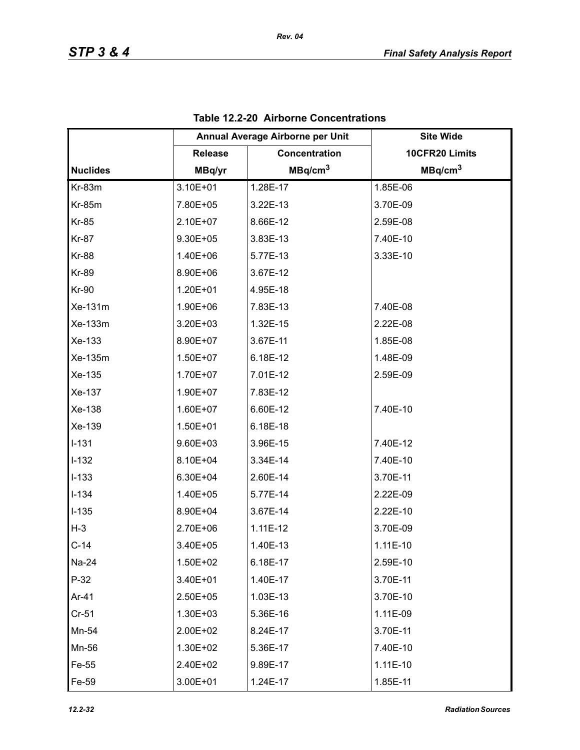|                 | Annual Average Airborne per Unit |                     | <b>Site Wide</b>    |
|-----------------|----------------------------------|---------------------|---------------------|
|                 | <b>Release</b>                   | Concentration       | 10CFR20 Limits      |
| <b>Nuclides</b> | MBq/yr                           | MBq/cm <sup>3</sup> | MBq/cm <sup>3</sup> |
| Kr-83m          | 3.10E+01                         | 1.28E-17            | 1.85E-06            |
| <b>Kr-85m</b>   | 7.80E+05                         | 3.22E-13            | 3.70E-09            |
| <b>Kr-85</b>    | 2.10E+07                         | 8.66E-12            | 2.59E-08            |
| <b>Kr-87</b>    | 9.30E+05                         | 3.83E-13            | 7.40E-10            |
| <b>Kr-88</b>    | 1.40E+06                         | 5.77E-13            | 3.33E-10            |
| <b>Kr-89</b>    | 8.90E+06                         | 3.67E-12            |                     |
| <b>Kr-90</b>    | 1.20E+01                         | 4.95E-18            |                     |
| Xe-131m         | 1.90E+06                         | 7.83E-13            | 7.40E-08            |
| Xe-133m         | 3.20E+03                         | 1.32E-15            | 2.22E-08            |
| Xe-133          | 8.90E+07                         | 3.67E-11            | 1.85E-08            |
| Xe-135m         | 1.50E+07                         | 6.18E-12            | 1.48E-09            |
| Xe-135          | 1.70E+07                         | 7.01E-12            | 2.59E-09            |
| Xe-137          | 1.90E+07                         | 7.83E-12            |                     |
| Xe-138          | 1.60E+07                         | 6.60E-12            | 7.40E-10            |
| Xe-139          | 1.50E+01                         | 6.18E-18            |                     |
| $I-131$         | 9.60E+03                         | 3.96E-15            | 7.40E-12            |
| $I-132$         | 8.10E+04                         | 3.34E-14            | 7.40E-10            |
| $I-133$         | 6.30E+04                         | 2.60E-14            | 3.70E-11            |
| $I-134$         | 1.40E+05                         | 5.77E-14            | 2.22E-09            |
| $I-135$         | 8.90E+04                         | 3.67E-14            | 2.22E-10            |
| $H-3$           | 2.70E+06                         | 1.11E-12            | 3.70E-09            |
| $C-14$          | 3.40E+05                         | 1.40E-13            | 1.11E-10            |
| Na-24           | 1.50E+02                         | 6.18E-17            | 2.59E-10            |
| $P-32$          | 3.40E+01                         | 1.40E-17            | 3.70E-11            |
| Ar-41           | 2.50E+05                         | 1.03E-13            | 3.70E-10            |
| $Cr-51$         | 1.30E+03                         | 5.36E-16            | 1.11E-09            |
| Mn-54           | 2.00E+02                         | 8.24E-17            | 3.70E-11            |
| Mn-56           | 1.30E+02                         | 5.36E-17            | 7.40E-10            |
| Fe-55           | 2.40E+02                         | 9.89E-17            | $1.11E-10$          |
| Fe-59           | 3.00E+01                         | 1.24E-17            | 1.85E-11            |

|  |  | Table 12.2-20 Airborne Concentrations |
|--|--|---------------------------------------|
|--|--|---------------------------------------|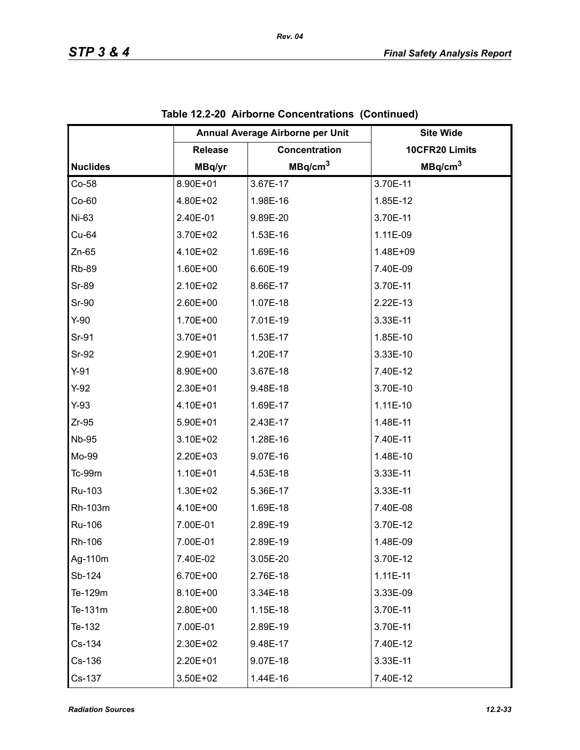|                 | Annual Average Airborne per Unit |                     | <b>Site Wide</b>    |
|-----------------|----------------------------------|---------------------|---------------------|
|                 | <b>Release</b>                   | Concentration       | 10CFR20 Limits      |
| <b>Nuclides</b> | MBq/yr                           | MBq/cm <sup>3</sup> | MBq/cm <sup>3</sup> |
| Co-58           | 8.90E+01                         | 3.67E-17            | 3.70E-11            |
| $Co-60$         | 4.80E+02                         | 1.98E-16            | 1.85E-12            |
| Ni-63           | 2.40E-01                         | 9.89E-20            | 3.70E-11            |
| Cu-64           | 3.70E+02                         | 1.53E-16            | 1.11E-09            |
| $Zn-65$         | 4.10E+02                         | 1.69E-16            | 1.48E+09            |
| <b>Rb-89</b>    | 1.60E+00                         | 6.60E-19            | 7.40E-09            |
| <b>Sr-89</b>    | 2.10E+02                         | 8.66E-17            | 3.70E-11            |
| <b>Sr-90</b>    | 2.60E+00                         | 1.07E-18            | 2.22E-13            |
| $Y-90$          | 1.70E+00                         | 7.01E-19            | 3.33E-11            |
| Sr-91           | 3.70E+01                         | 1.53E-17            | 1.85E-10            |
| Sr-92           | 2.90E+01                         | 1.20E-17            | 3.33E-10            |
| $Y-91$          | 8.90E+00                         | 3.67E-18            | 7.40E-12            |
| $Y-92$          | 2.30E+01                         | 9.48E-18            | 3.70E-10            |
| $Y-93$          | 4.10E+01                         | 1.69E-17            | $1.11E-10$          |
| $Zr-95$         | 5.90E+01                         | 2.43E-17            | 1.48E-11            |
| <b>Nb-95</b>    | 3.10E+02                         | 1.28E-16            | 7.40E-11            |
| Mo-99           | 2.20E+03                         | 9.07E-16            | 1.48E-10            |
| Tc-99m          | 1.10E+01                         | 4.53E-18            | 3.33E-11            |
| Ru-103          | 1.30E+02                         | 5.36E-17            | 3.33E-11            |
| Rh-103m         | 4.10E+00                         | 1.69E-18            | 7.40E-08            |
| Ru-106          | 7.00E-01                         | 2.89E-19            | 3.70E-12            |
| Rh-106          | 7.00E-01                         | 2.89E-19            | 1.48E-09            |
| Ag-110m         | 7.40E-02                         | 3.05E-20            | 3.70E-12            |
| Sb-124          | 6.70E+00                         | 2.76E-18            | $1.11E-11$          |
| Te-129m         | 8.10E+00                         | 3.34E-18            | 3.33E-09            |
| Te-131m         | 2.80E+00                         | 1.15E-18            | 3.70E-11            |
| Te-132          | 7.00E-01                         | 2.89E-19            | 3.70E-11            |
| Cs-134          | 2.30E+02                         | 9.48E-17            | 7.40E-12            |
| Cs-136          | 2.20E+01                         | 9.07E-18            | 3.33E-11            |
| Cs-137          | 3.50E+02                         | 1.44E-16            | 7.40E-12            |

|  | Table 12.2-20 Airborne Concentrations (Continued) |  |
|--|---------------------------------------------------|--|
|--|---------------------------------------------------|--|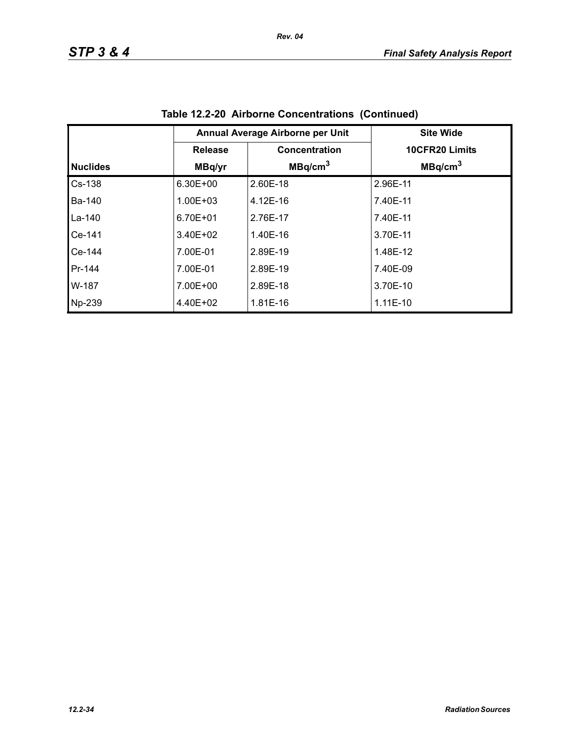|                 |                | Annual Average Airborne per Unit | <b>Site Wide</b>    |
|-----------------|----------------|----------------------------------|---------------------|
|                 | <b>Release</b> | Concentration                    | 10CFR20 Limits      |
| <b>Nuclides</b> | MBq/yr         | MBq/cm <sup>3</sup>              | MBq/cm <sup>3</sup> |
| $Cs-138$        | 6.30E+00       | 2.60E-18                         | 2.96E-11            |
| <b>Ba-140</b>   | 1.00E+03       | 4.12E-16                         | 7.40E-11            |
| La-140          | 6.70E+01       | 2.76E-17                         | 7.40E-11            |
| Ce-141          | 3.40E+02       | 1.40E-16                         | 3.70E-11            |
| Ce-144          | 7.00E-01       | 2.89E-19                         | 1.48E-12            |
| Pr-144          | 7.00E-01       | 2.89E-19                         | 7.40E-09            |
| W-187           | 7.00E+00       | 2.89E-18                         | 3.70E-10            |
| Np-239          | 4.40E+02       | 1.81E-16                         | $1.11E-10$          |

**Table 12.2-20 Airborne Concentrations (Continued)**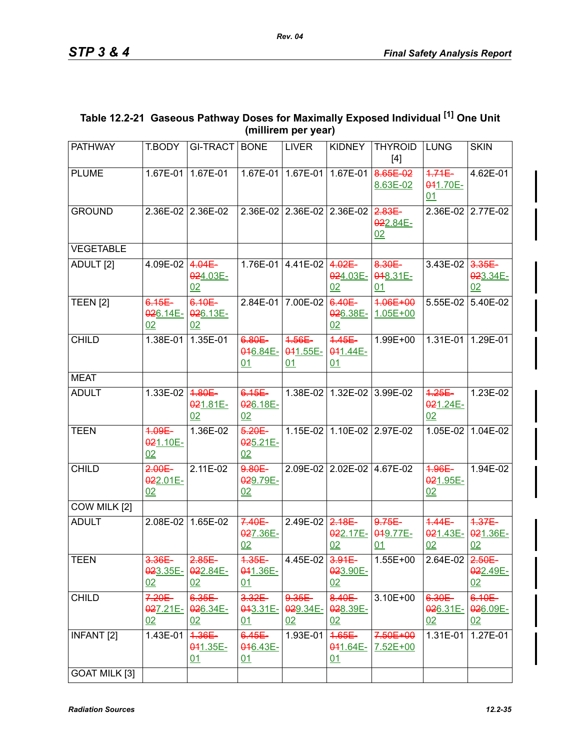| Table 12.2-21 Gaseous Pathway Doses for Maximally Exposed Individual [1] One Unit |
|-----------------------------------------------------------------------------------|
| (millirem per year)                                                               |

| <b>PATHWAY</b>       | T.BODY                      | <b>GI-TRACT</b>                      | <b>BONE</b>                        | <b>LIVER</b>                     | <b>KIDNEY</b>                   | <b>THYROID</b><br>$[4]$                 | <b>LUNG</b>                 | <b>SKIN</b>                     |
|----------------------|-----------------------------|--------------------------------------|------------------------------------|----------------------------------|---------------------------------|-----------------------------------------|-----------------------------|---------------------------------|
| <b>PLUME</b>         |                             | 1.67E-01 1.67E-01                    |                                    | 1.67E-01 1.67E-01                |                                 | $1.67E-01$ 8.65E 02<br>8.63E-02         | $4.74E -$<br>041.70E-<br>01 | 4.62E-01                        |
| <b>GROUND</b>        |                             | 2.36E-02 2.36E-02                    |                                    | 2.36E-02 2.36E-02 2.36E-02 2.83E |                                 | 022.84E-<br>02                          |                             | 2.36E-02 2.77E-02               |
| <b>VEGETABLE</b>     |                             |                                      |                                    |                                  |                                 |                                         |                             |                                 |
| ADULT <sub>[2]</sub> | 4.09E-02 4.04E              | 024.03E-<br>02                       |                                    | 1.76E-01 4.41E-02 4.02E          | 02                              | 8.30E<br>024.03E- 018.31E-<br><u>01</u> | $3.43E-02$ $3.35E-$         | 023.34E-<br>02                  |
| <b>TEEN [2]</b>      | $6.15E -$<br>026.14E-<br>02 | 6.10E-<br>026.13E-<br>02             |                                    | 2.84E-01 7.00E-02                | 6.40E-<br>026.38E-<br>02        | 4.06E+00<br>$1.05E + 00$                |                             | 5.55E-02 5.40E-02               |
| <b>CHILD</b>         | 1.38E-01                    | 1.35E-01                             | 6.80E<br>046.84E-<br>01            | 4.56E<br>041.55E-<br>01          | $4.45E -$<br>041.44E-<br>01     | 1.99E+00                                |                             | 1.31E-01 1.29E-01               |
| <b>MEAT</b>          |                             |                                      |                                    |                                  |                                 |                                         |                             |                                 |
| <b>ADULT</b>         | $1.33E-02$                  | 4.80E-<br>021.81E-<br>02             | $6.15E -$<br>026.18E-<br>02        |                                  | 1.38E-02 1.32E-02 3.99E-02      |                                         | $4.25E -$<br>021.24E-<br>02 | 1.23E-02                        |
| <b>TEEN</b>          | 4.09E-<br>021.10E-<br>02    | 1.36E-02                             | $5.20E -$<br>025.21E-<br>02        |                                  | 1.15E-02 1.10E-02 2.97E-02      |                                         |                             | 1.05E-02 1.04E-02               |
| <b>CHILD</b>         | $2.00E -$<br>022.01E-<br>02 | 2.11E-02                             | 9.80E<br>029.79E-<br>02            |                                  | 2.09E-02 2.02E-02 4.67E-02      |                                         | 4.96E<br>021.95E-<br>02     | 1.94E-02                        |
| COW MILK [2]         |                             |                                      |                                    |                                  |                                 |                                         |                             |                                 |
| <b>ADULT</b>         |                             | 2.08E-02 1.65E-02                    | $7.40E -$<br>027.36E-<br>02        | 2.49E-02 $2.18E$                 | $0.22.17E -$<br>02              | $9.75E -$<br>049.77E-<br>01             | $4.44E-$<br>021.43E-<br>02  | $4.37E -$<br>021.36E-<br>02     |
| <b>TEEN</b>          | 3.36E<br>02                 | $2.85E -$<br>023.35E- 022.84E-<br>02 | $4.35E -$<br>041.36E-<br>01        | 4.45E-02 3.91E                   | 023.90E-<br>02                  | $1.55E + 00$                            | 2.64E-02 $2.50E-$           | 022.49E-<br>02                  |
| <b>CHILD</b>         | $7.20E -$<br>027.21E-<br>02 | 6.35E-<br>026.34E-<br>02             | $3.32E -$<br>043.31E-<br><u>01</u> | $9.35E -$<br>029.34E-<br>02      | 8.40E-<br>028.39E-<br>02        | 3.10E+00                                | 6.30E-<br>$926.31E -$<br>02 | 6.10E-<br>026.09E-<br><u>02</u> |
| <b>INFANT [2]</b>    | 1.43E-01                    | 4.36E<br>041.35E-<br>01              | $6.45E -$<br>046.43E-<br>01        | 1.93E-01                         | $4.65E -$<br>$0.41.64E -$<br>01 | 7.50E+00<br>7.52E+00                    | 1.31E-01                    | 1.27E-01                        |
| <b>GOAT MILK [3]</b> |                             |                                      |                                    |                                  |                                 |                                         |                             |                                 |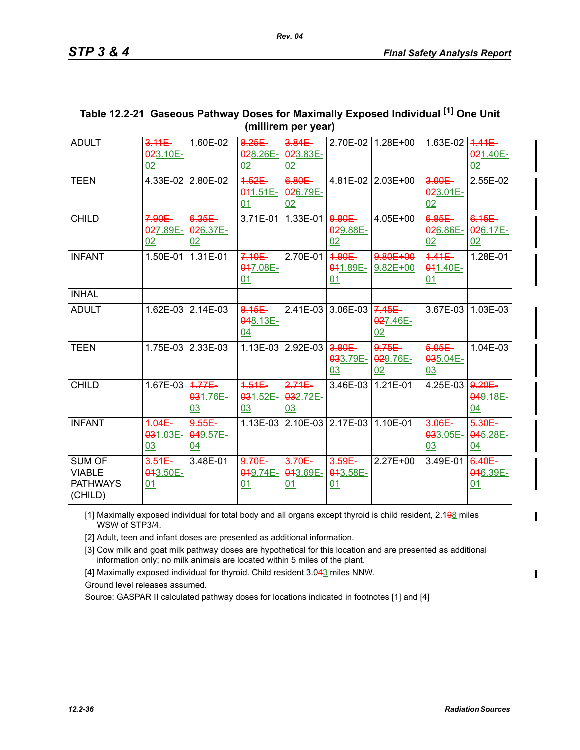| <b>ADULT</b>                                                 | $3.11E -$<br>023.10E-<br>02 | 1.60E-02                    | 8.25E-<br>028.26E-<br>02     | $3.84E -$<br>023.83E-<br>02         |                              | 2.70E-02 1.28E+00           | 1.63E-02 $\overline{)4.41E}$ | 021.40E-<br>02              |
|--------------------------------------------------------------|-----------------------------|-----------------------------|------------------------------|-------------------------------------|------------------------------|-----------------------------|------------------------------|-----------------------------|
| <b>TEEN</b>                                                  |                             | 4.33E-02 2.80E-02           | $4.52E-$<br>$041.51E-$<br>01 | 6.80E<br>026.79E-<br>02             |                              | $4.81E-02$ 2.03E+00         | $3.00E -$<br>023.01E-<br>02  | 2.55E-02                    |
| <b>CHILD</b>                                                 | $7.90E -$<br>027.89E-<br>02 | 6.35E<br>026.37E-<br>02     | 3.71E-01                     | 1.33E-01                            | 9.90E<br>029.88E-<br>02      | 4.05E+00                    | 6.85E<br>026.86E-<br>02      | $6.15E -$<br>026.17E-<br>02 |
| <b>INFANT</b>                                                | 1.50E-01                    | 1.31E-01                    | $7.10E -$<br>047.08E-<br>01  | 2.70E-01                            | $4.90E -$<br>041.89E-<br>01  | 9.80E+00<br>$9.82E + 00$    | $4.41E -$<br>041.40E-<br>01  | 1.28E-01                    |
| <b>INHAL</b>                                                 |                             |                             |                              |                                     |                              |                             |                              |                             |
| <b>ADULT</b>                                                 |                             | 1.62E-03 2.14E-03           | 8.15E<br>048.13E-<br>04      |                                     | $2.41E-03$ 3.06E-03 7.45E    | 027.46E-<br>02              |                              | 3.67E-03   1.03E-03         |
| <b>TEEN</b>                                                  |                             | 1.75E-03 2.33E-03           |                              | 1.13E-03 2.92E-03                   | $-3.80E -$<br>033.79E-<br>03 | $9.75E -$<br>029.76E-<br>02 | $5.05E -$<br>035.04E-<br>03  | $1.04E - 03$                |
| <b>CHILD</b>                                                 | 1.67E-03 4.77E              | 031.76E-<br>03              | $4.51E -$<br>031.52E-<br>03  | $2.71E -$<br>032.72E-<br>03         | 3.46E-03 1.21E-01            |                             | 4.25E-03 9.20E               | 049.18E-<br>04              |
| <b>INFANT</b>                                                | $4.04E -$<br>031.03E-<br>03 | $9.55E -$<br>049.57E-<br>04 |                              | 1.13E-03 2.10E-03 2.17E-03 1.10E-01 |                              |                             | $3.06E -$<br>033.05E-<br>03  | $5.30E -$<br>045.28E-<br>04 |
| <b>SUM OF</b><br><b>VIABLE</b><br><b>PATHWAYS</b><br>(CHILD) | $3.51E -$<br>043.50E-<br>01 | 3.48E-01                    | $9.70E -$<br>049.74E-<br>01  | $3.70E -$<br>043.69E-<br>01         | $3.59E -$<br>043.58E-<br>01  | $2.27E + 00$                | 3.49E-01                     | 6.40E-<br>046.39E-<br>01    |

# **Table 12.2-21 Gaseous Pathway Doses for Maximally Exposed Individual [1] One Unit (millirem per year)**

[1] Maximally exposed individual for total body and all organs except thyroid is child resident, 2.198 miles WSW of STP3/4.

[2] Adult, teen and infant doses are presented as additional information.

[3] Cow milk and goat milk pathway doses are hypothetical for this location and are presented as additional information only; no milk animals are located within 5 miles of the plant.

[4] Maximally exposed individual for thyroid. Child resident 3.043 miles NNW.

Ground level releases assumed.

Source: GASPAR II calculated pathway doses for locations indicated in footnotes [1] and [4]

I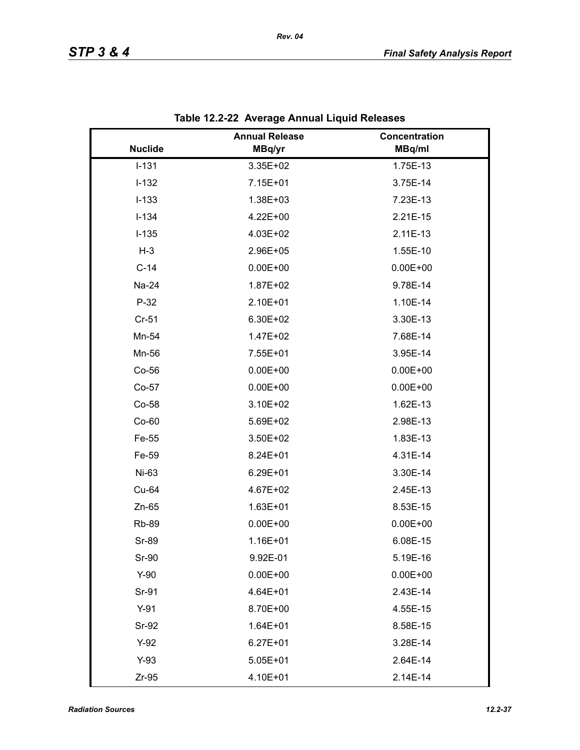|                | <b>Annual Release</b> | Concentration |
|----------------|-----------------------|---------------|
| <b>Nuclide</b> | MBq/yr                | MBq/ml        |
| $I-131$        | 3.35E+02              | 1.75E-13      |
| $I-132$        | 7.15E+01              | 3.75E-14      |
| $I-133$        | 1.38E+03              | 7.23E-13      |
| $I-134$        | 4.22E+00              | 2.21E-15      |
| $I-135$        | 4.03E+02              | 2.11E-13      |
| $H-3$          | 2.96E+05              | 1.55E-10      |
| $C-14$         | $0.00E + 00$          | $0.00E + 00$  |
| Na-24          | 1.87E+02              | 9.78E-14      |
| $P-32$         | 2.10E+01              | 1.10E-14      |
| $Cr-51$        | 6.30E+02              | 3.30E-13      |
| Mn-54          | 1.47E+02              | 7.68E-14      |
| Mn-56          | 7.55E+01              | 3.95E-14      |
| Co-56          | $0.00E + 00$          | $0.00E + 00$  |
| $Co-57$        | $0.00E + 00$          | $0.00E + 00$  |
| Co-58          | 3.10E+02              | 1.62E-13      |
| $Co-60$        | 5.69E+02              | 2.98E-13      |
| Fe-55          | 3.50E+02              | 1.83E-13      |
| Fe-59          | 8.24E+01              | 4.31E-14      |
| Ni-63          | 6.29E+01              | 3.30E-14      |
| Cu-64          | 4.67E+02              | 2.45E-13      |
| $Zn-65$        | $1.63E + 01$          | 8.53E-15      |
| <b>Rb-89</b>   | $0.00E + 00$          | $0.00E + 00$  |
| <b>Sr-89</b>   | 1.16E+01              | 6.08E-15      |
| Sr-90          | 9.92E-01              | 5.19E-16      |
| $Y-90$         | $0.00E + 00$          | $0.00E + 00$  |
| Sr-91          | 4.64E+01              | 2.43E-14      |
| $Y-91$         | 8.70E+00              | 4.55E-15      |
| Sr-92          | $1.64E + 01$          | 8.58E-15      |
| $Y-92$         | $6.27E + 01$          | 3.28E-14      |
| $Y-93$         | $5.05E + 01$          | 2.64E-14      |
| $Zr-95$        | 4.10E+01              | 2.14E-14      |

|  | Table 12.2-22 Average Annual Liquid Releases |
|--|----------------------------------------------|
|--|----------------------------------------------|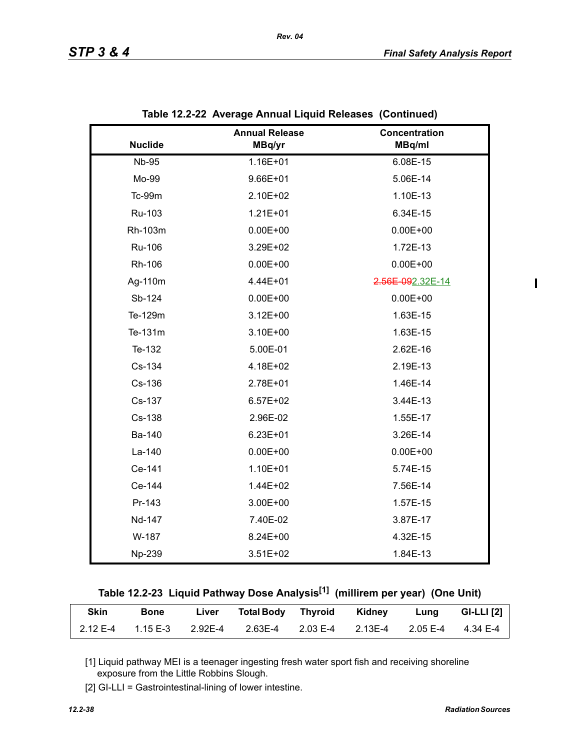$\mathbf I$ 

|                | <b>Annual Release</b> | Concentration    |
|----------------|-----------------------|------------------|
| <b>Nuclide</b> | MBq/yr                | MBq/ml           |
| <b>Nb-95</b>   | 1.16E+01              | 6.08E-15         |
| Mo-99          | 9.66E+01              | 5.06E-14         |
| Tc-99m         | 2.10E+02              | 1.10E-13         |
| Ru-103         | $1.21E + 01$          | 6.34E-15         |
| Rh-103m        | $0.00E + 00$          | $0.00E + 00$     |
| Ru-106         | 3.29E+02              | 1.72E-13         |
| Rh-106         | $0.00E + 00$          | $0.00E + 00$     |
| Ag-110m        | 4.44E+01              | 2.56E-092.32E-14 |
| Sb-124         | $0.00E + 00$          | $0.00E + 00$     |
| Te-129m        | $3.12E + 00$          | 1.63E-15         |
| Te-131m        | 3.10E+00              | 1.63E-15         |
| Te-132         | 5.00E-01              | 2.62E-16         |
| Cs-134         | 4.18E+02              | 2.19E-13         |
| Cs-136         | 2.78E+01              | 1.46E-14         |
| Cs-137         | $6.57E + 02$          | 3.44E-13         |
| Cs-138         | 2.96E-02              | 1.55E-17         |
| Ba-140         | $6.23E + 01$          | 3.26E-14         |
| La-140         | $0.00E + 00$          | $0.00E + 00$     |
| Ce-141         | 1.10E+01              | 5.74E-15         |
| Ce-144         | 1.44E+02              | 7.56E-14         |
| Pr-143         | 3.00E+00              | 1.57E-15         |
| Nd-147         | 7.40E-02              | 3.87E-17         |
| W-187          | 8.24E+00              | 4.32E-15         |
| Np-239         | 3.51E+02              | 1.84E-13         |

|  | Table 12.2-23 Liquid Pathway Dose Analysis <sup>[1]</sup> (millirem per year) (One Unit) |  |  |
|--|------------------------------------------------------------------------------------------|--|--|
|  |                                                                                          |  |  |

| <b>Skin</b> | <b>Bone</b> | Liver i | Total Body Thyroid Kidney Lung GI-LLI [2]                                   |  |  |
|-------------|-------------|---------|-----------------------------------------------------------------------------|--|--|
|             |             |         | 2.12 E-4  1.15 E-3  2.92E-4  2.63E-4  2.03 E-4  2.13E-4  2.05 E-4  4.34 E-4 |  |  |

[1] Liquid pathway MEI is a teenager ingesting fresh water sport fish and receiving shoreline exposure from the Little Robbins Slough.

[2] GI-LLI = Gastrointestinal-lining of lower intestine.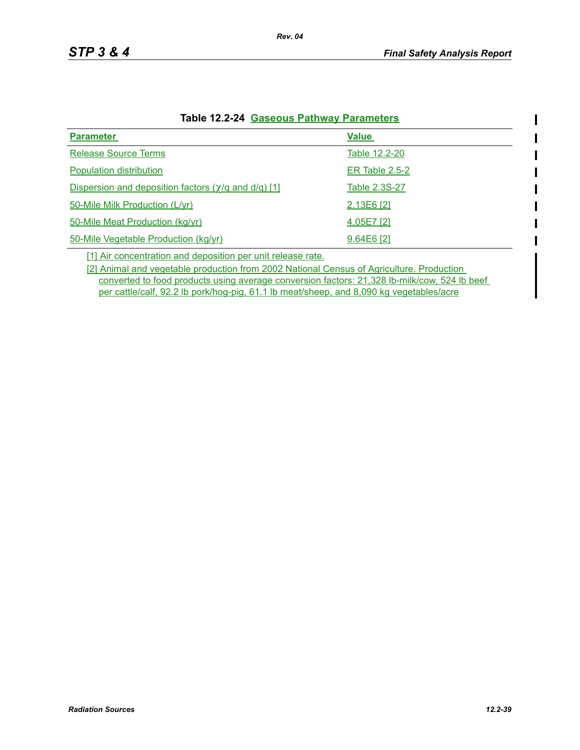$\mathbf I$ ı

| <b>Parameter</b>                                                    | <b>Value</b>   |
|---------------------------------------------------------------------|----------------|
|                                                                     |                |
| <b>Release Source Terms</b>                                         | Table 12.2-20  |
| Population distribution                                             | ER Table 2.5-2 |
| Dispersion and deposition factors $(\gamma/q \text{ and } d/q)$ [1] | Table 2.3S-27  |
| 50-Mile Milk Production (L/yr)                                      | 2.13E6 [2]     |
| 50-Mile Meat Production (kg/yr)                                     | 4.05E7 [2]     |
| 50-Mile Vegetable Production (kg/yr)                                | $9.64E6$ [2]   |

#### **Table 12.2-24 Gaseous Pathway Parameters**

[1] Air concentration and deposition per unit release rate.

[2] Animal and vegetable production from 2002 National Census of Agriculture. Production converted to food products using average conversion factors: 21,328 lb-milk/cow, 524 lb beef per cattle/calf, 92.2 lb pork/hog-pig, 61.1 lb meat/sheep, and 8,090 kg vegetables/acre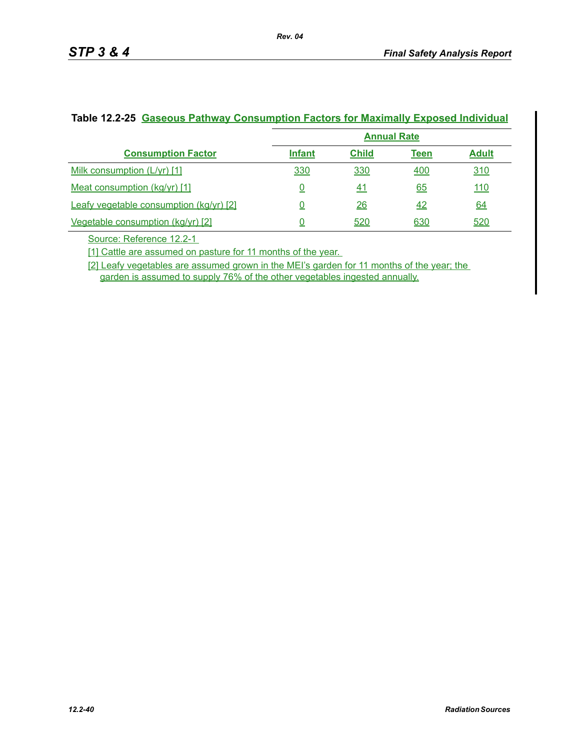|                                         | <b>Annual Rate</b> |              |             |              |
|-----------------------------------------|--------------------|--------------|-------------|--------------|
| <b>Consumption Factor</b>               | <b>Infant</b>      | <b>Child</b> | <b>Teen</b> | <b>Adult</b> |
| Milk consumption (L/yr) [1]             | 330                | 330          | 400         | 310          |
| Meat consumption (kg/yr) [1]            |                    | <u>41</u>    | 65          | <u> 110</u>  |
| Leafy vegetable consumption (kg/yr) [2] |                    | 26           | 42          | 64           |
| Vegetable consumption (kg/yr) [2]       |                    | 520          | 630         | <u>520</u>   |

#### **Table 12.2-25 Gaseous Pathway Consumption Factors for Maximally Exposed Individual**

*Rev. 04* 

Source: Reference 12.2-1

[1] Cattle are assumed on pasture for 11 months of the year.

[2] Leafy vegetables are assumed grown in the MEI's garden for 11 months of the year; the garden is assumed to supply 76% of the other vegetables ingested annually.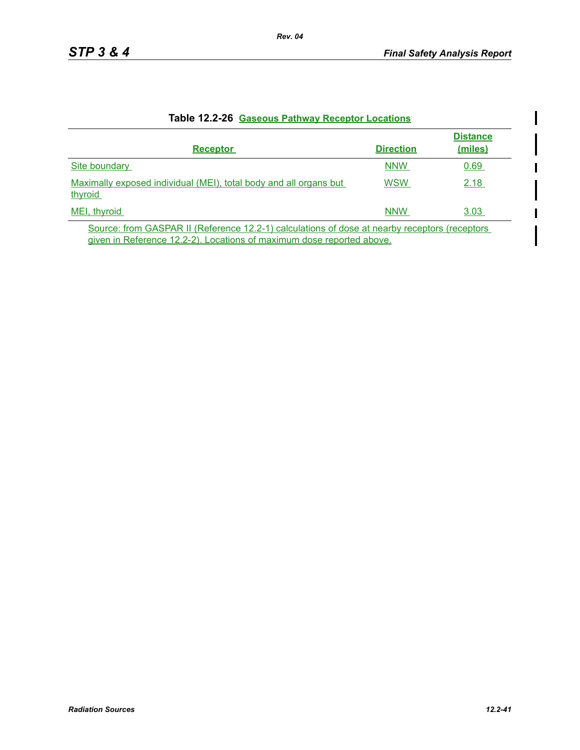I

| <b>Receptor</b>                                                                               | <b>Direction</b> | <b>Distance</b><br>(miles) |
|-----------------------------------------------------------------------------------------------|------------------|----------------------------|
| Site boundary                                                                                 | <b>NNW</b>       | 0.69                       |
| Maximally exposed individual (MEI), total body and all organs but<br>thyroid                  | <b>WSW</b>       | 2.18                       |
| MEI, thyroid                                                                                  | <b>NNW</b>       | 3.03                       |
| Course from CACDAD II (Deference 19.9.1) coloulations of deep at people resembers (resenters) |                  |                            |

#### **Table 12.2-26 Gaseous Pathway Receptor Locations**

Source: from GASPAR II (Reference 12.2-1) calculations of dose at nearby receptors (receptors given in Reference 12.2-2). Locations of maximum dose reported above.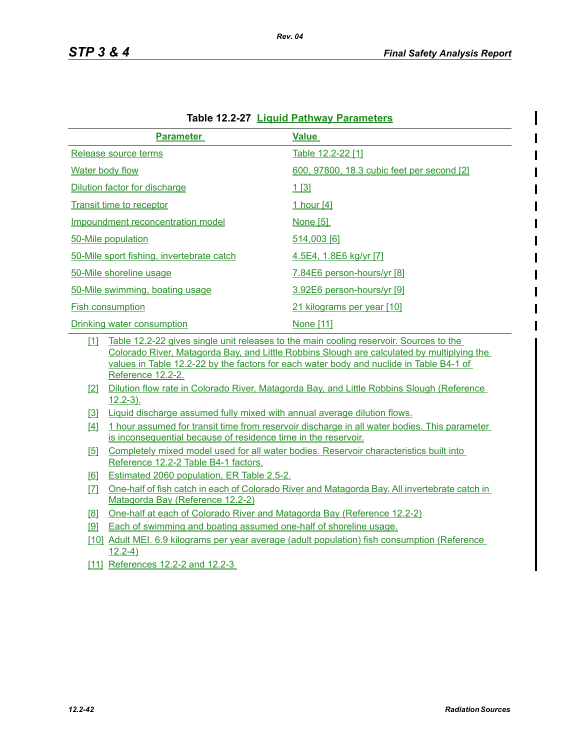| <u> Eigült Fathway Farannoloro</u>        |                                            |  |  |  |
|-------------------------------------------|--------------------------------------------|--|--|--|
| <b>Parameter</b>                          | <b>Value</b>                               |  |  |  |
| Release source terms                      | Table 12.2-22 [1]                          |  |  |  |
| <b>Water body flow</b>                    | 600, 97800, 18.3 cubic feet per second [2] |  |  |  |
| Dilution factor for discharge             | 1[3]                                       |  |  |  |
| <b>Transit time to receptor</b>           | 1 hour [4]                                 |  |  |  |
| Impoundment reconcentration model         | <b>None [5]</b>                            |  |  |  |
| 50-Mile population                        | 514,003 [6]                                |  |  |  |
| 50-Mile sport fishing, invertebrate catch | 4.5E4, 1.8E6 kg/yr [7]                     |  |  |  |
| 50-Mile shoreline usage                   | 7.84E6 person-hours/yr [8]                 |  |  |  |
| 50-Mile swimming, boating usage           | 3.92E6 person-hours/yr [9]                 |  |  |  |
| <b>Fish consumption</b>                   | 21 kilograms per year [10]                 |  |  |  |
| Drinking water consumption                | <u>None [11]</u>                           |  |  |  |

|  | Table 12.2-27 Liquid Pathway Parameters |  |
|--|-----------------------------------------|--|
|--|-----------------------------------------|--|

*Rev. 04*

[1] Table 12.2-22 gives single unit releases to the main cooling reservoir. Sources to the Colorado River, Matagorda Bay, and Little Robbins Slough are calculated by multiplying the values in Table 12.2-22 by the factors for each water body and nuclide in Table B4-1 of Reference 12.2-2.

- [2] Dilution flow rate in Colorado River, Matagorda Bay, and Little Robbins Slough (Reference 12.2-3).
- [3] Liquid discharge assumed fully mixed with annual average dilution flows.
- [4] 1 hour assumed for transit time from reservoir discharge in all water bodies. This parameter is inconsequential because of residence time in the reservoir.
- [5] Completely mixed model used for all water bodies. Reservoir characteristics built into Reference 12.2-2 Table B4-1 factors.
- [6] Estimated 2060 population, ER Table 2.5-2.
- [7] One-half of fish catch in each of Colorado River and Matagorda Bay. All invertebrate catch in Matagorda Bay (Reference 12.2-2)
- [8] One-half at each of Colorado River and Matagorda Bay (Reference 12.2-2)
- [9] Each of swimming and boating assumed one-half of shoreline usage.
- [10] Adult MEI. 6.9 kilograms per year average (adult population) fish consumption (Reference 12.2-4)
- [11] References 12.2-2 and 12.2-3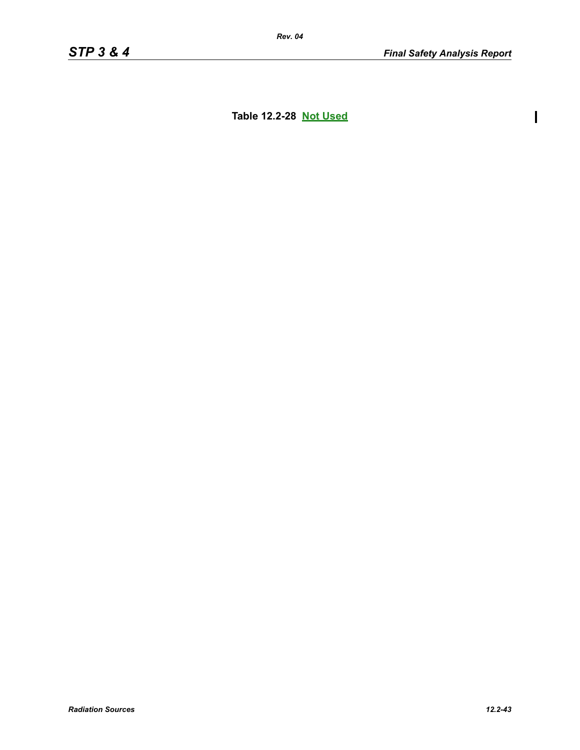$\begin{array}{c} \hline \end{array}$ 

**Table 12.2-28 Not Used**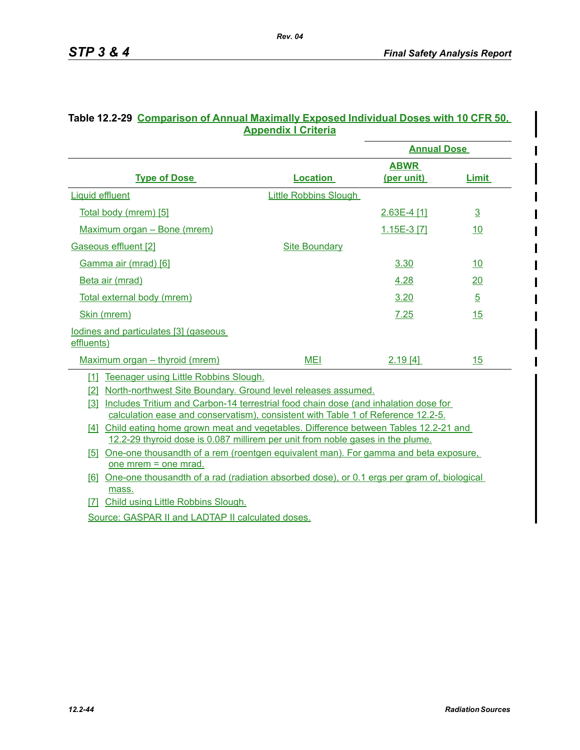|                                                     |                              | <b>Annual Dose</b> |                |  |
|-----------------------------------------------------|------------------------------|--------------------|----------------|--|
|                                                     |                              | <b>ABWR</b>        |                |  |
| <b>Type of Dose</b>                                 | <b>Location</b>              | (per unit)         | <b>Limit</b>   |  |
| <b>Liquid effluent</b>                              | <b>Little Robbins Slough</b> |                    |                |  |
| Total body (mrem) [5]                               |                              | $2.63E-4$ [1]      | $\overline{3}$ |  |
| Maximum organ - Bone (mrem)                         |                              | 1.15E-3 [7]        | 10             |  |
| Gaseous effluent [2]                                | <b>Site Boundary</b>         |                    |                |  |
| Gamma air (mrad) [6]                                |                              | 3.30               | <u>10</u>      |  |
| <b>Beta air (mrad)</b>                              |                              | <u>4.28</u>        | 20             |  |
| Total external body (mrem)                          |                              | 3.20               | $\overline{5}$ |  |
| Skin (mrem)                                         |                              | 7.25               | 15             |  |
| lodines and particulates [3] (gaseous<br>effluents) |                              |                    |                |  |
| Maximum organ – thyroid (mrem)                      | <b>MEI</b>                   | 2.19[4]            | 15             |  |

#### **Table 12.2-29 Comparison of Annual Maximally Exposed Individual Doses with 10 CFR 50, Appendix I Criteria**

*Rev. 04*

[1] Teenager using Little Robbins Slough.

[2] North-northwest Site Boundary. Ground level releases assumed.

[3] Includes Tritium and Carbon-14 terrestrial food chain dose (and inhalation dose for calculation ease and conservatism), consistent with Table 1 of Reference 12.2-5.

[4] Child eating home grown meat and vegetables. Difference between Tables 12.2-21 and 12.2-29 thyroid dose is 0.087 millirem per unit from noble gases in the plume.

[5] One-one thousandth of a rem (roentgen equivalent man). For gamma and beta exposure, one mrem = one mrad.

[6] One-one thousandth of a rad (radiation absorbed dose), or 0.1 ergs per gram of, biological mass.

[7] Child using Little Robbins Slough.

Source: GASPAR II and LADTAP II calculated doses.